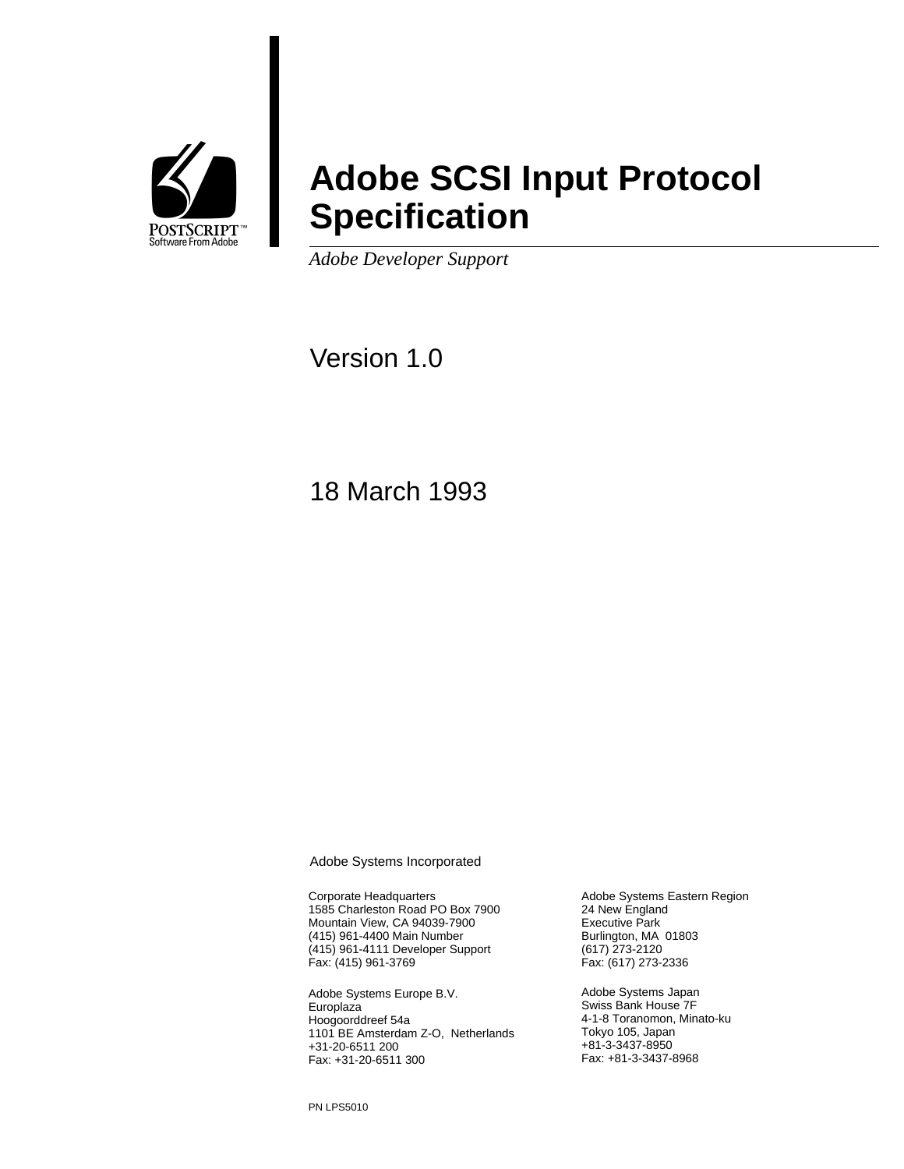

# **Adobe SCSI Input Protocol Specification**

*Adobe Developer Support*

Version 1.0

18 March 1993

Adobe Systems Incorporated

Corporate Headquarters 1585 Charleston Road PO Box 7900 Mountain View, CA 94039-7900 (415) 961-4400 Main Number (415) 961-4111 Developer Support Fax: (415) 961-3769

Adobe Systems Europe B.V. **Europlaza** Hoogoorddreef 54a 1101 BE Amsterdam Z-O, Netherlands +31-20-6511 200 Fax: +31-20-6511 300

Adobe Systems Eastern Region 24 New England Executive Park Burlington, MA 01803 (617) 273-2120 Fax: (617) 273-2336

Adobe Systems Japan Swiss Bank House 7F 4-1-8 Toranomon, Minato-ku Tokyo 105, Japan +81-3-3437-8950 Fax: +81-3-3437-8968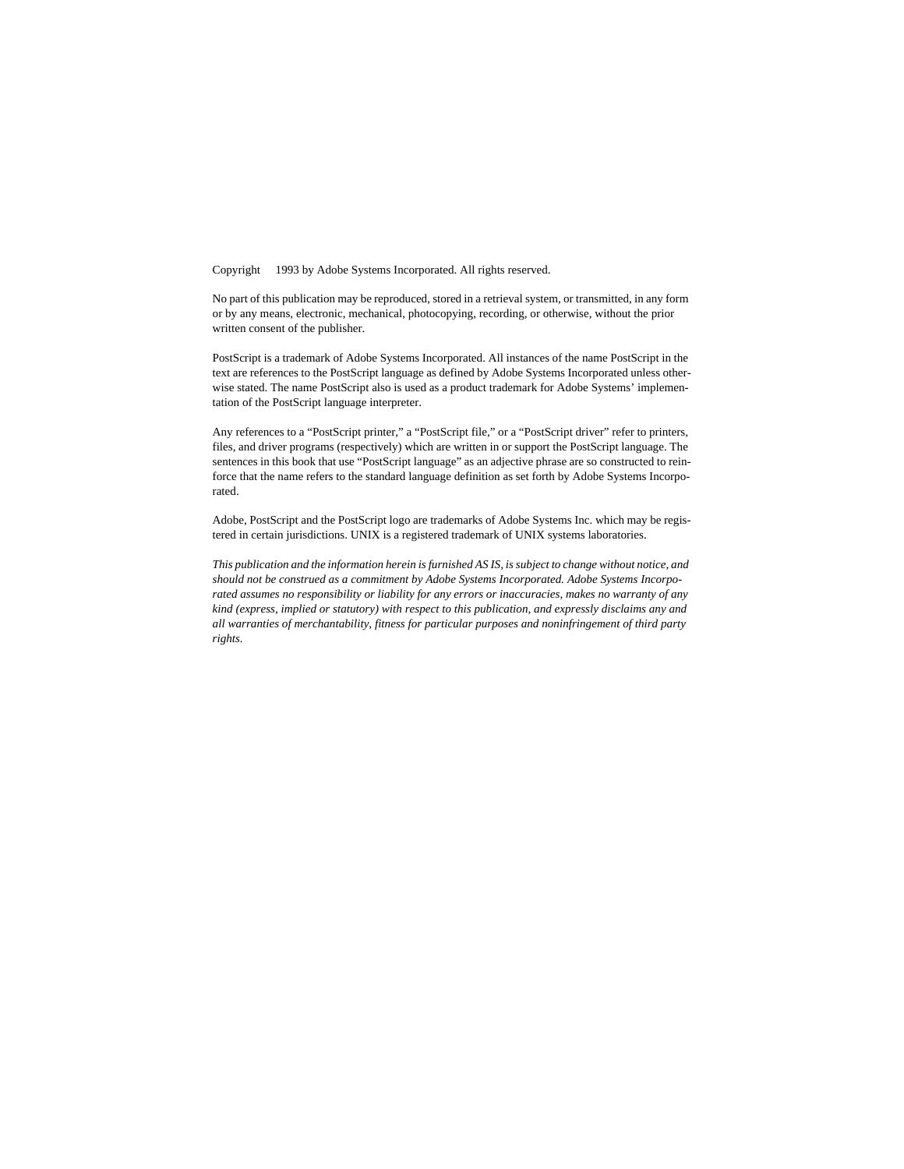Copyright © 1993 by Adobe Systems Incorporated. All rights reserved.

No part of this publication may be reproduced, stored in a retrieval system, or transmitted, in any form or by any means, electronic, mechanical, photocopying, recording, or otherwise, without the prior written consent of the publisher.

PostScript is a trademark of Adobe Systems Incorporated. All instances of the name PostScript in the text are references to the PostScript language as defined by Adobe Systems Incorporated unless otherwise stated. The name PostScript also is used as a product trademark for Adobe Systems' implementation of the PostScript language interpreter.

Any references to a "PostScript printer," a "PostScript file," or a "PostScript driver" refer to printers, files, and driver programs (respectively) which are written in or support the PostScript language. The sentences in this book that use "PostScript language" as an adjective phrase are so constructed to reinforce that the name refers to the standard language definition as set forth by Adobe Systems Incorporated.

Adobe, PostScript and the PostScript logo are trademarks of Adobe Systems Inc. which may be registered in certain jurisdictions. UNIX is a registered trademark of UNIX systems laboratories.

*This publication and the information herein is furnished AS IS, is subject to change without notice, and should not be construed as a commitment by Adobe Systems Incorporated. Adobe Systems Incorporated assumes no responsibility or liability for any errors or inaccuracies, makes no warranty of any kind (express, implied or statutory) with respect to this publication, and expressly disclaims any and all warranties of merchantability, fitness for particular purposes and noninfringement of third party rights.*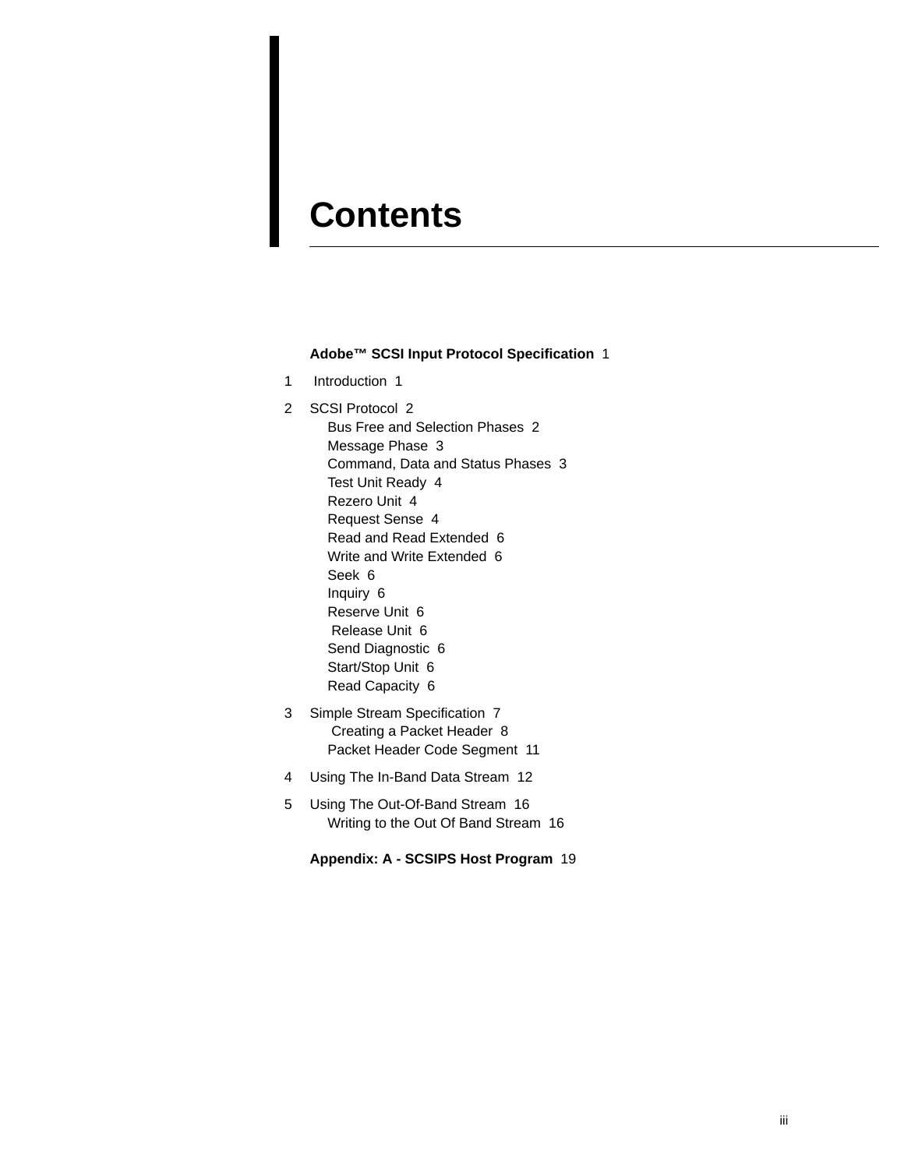# **Contents**

#### **Adobe™ SCSI Input Protocol Specification** 1

1 Introduction 1

2 SCSI Protocol 2 Bus Free and Selection Phases 2 Message Phase 3 Command, Data and Status Phases 3 Test Unit Ready 4 Rezero Unit 4 Request Sense 4 Read and Read Extended 6 Write and Write Extended 6 Seek 6 Inquiry 6 Reserve Unit 6 Release Unit 6 Send Diagnostic 6 Start/Stop Unit 6 Read Capacity 6

- 3 Simple Stream Specification 7 Creating a Packet Header 8 Packet Header Code Segment 11
- 4 Using The In-Band Data Stream 12
- 5 Using The Out-Of-Band Stream 16 Writing to the Out Of Band Stream 16

**Appendix: A - SCSIPS Host Program** 19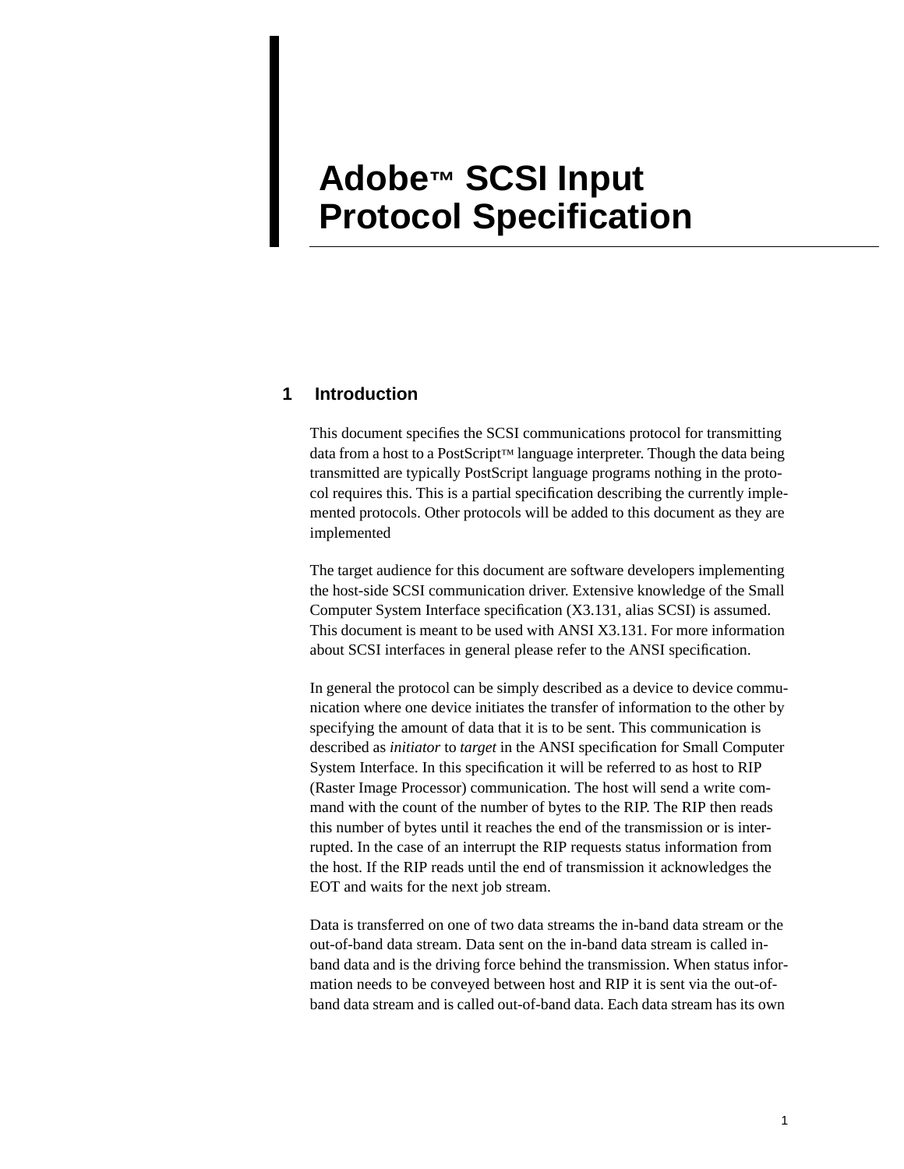# **Adobe™ SCSI Input Protocol Specification**

### **1 Introduction**

This document specifies the SCSI communications protocol for transmitting data from a host to a PostScript™ language interpreter. Though the data being transmitted are typically PostScript language programs nothing in the protocol requires this. This is a partial specification describing the currently implemented protocols. Other protocols will be added to this document as they are implemented

The target audience for this document are software developers implementing the host-side SCSI communication driver. Extensive knowledge of the Small Computer System Interface specification (X3.131, alias SCSI) is assumed. This document is meant to be used with ANSI X3.131. For more information about SCSI interfaces in general please refer to the ANSI specification.

In general the protocol can be simply described as a device to device communication where one device initiates the transfer of information to the other by specifying the amount of data that it is to be sent. This communication is described as *initiator* to *target* in the ANSI specification for Small Computer System Interface. In this specification it will be referred to as host to RIP (Raster Image Processor) communication. The host will send a write command with the count of the number of bytes to the RIP. The RIP then reads this number of bytes until it reaches the end of the transmission or is interrupted. In the case of an interrupt the RIP requests status information from the host. If the RIP reads until the end of transmission it acknowledges the EOT and waits for the next job stream.

Data is transferred on one of two data streams the in-band data stream or the out-of-band data stream. Data sent on the in-band data stream is called inband data and is the driving force behind the transmission. When status information needs to be conveyed between host and RIP it is sent via the out-ofband data stream and is called out-of-band data. Each data stream has its own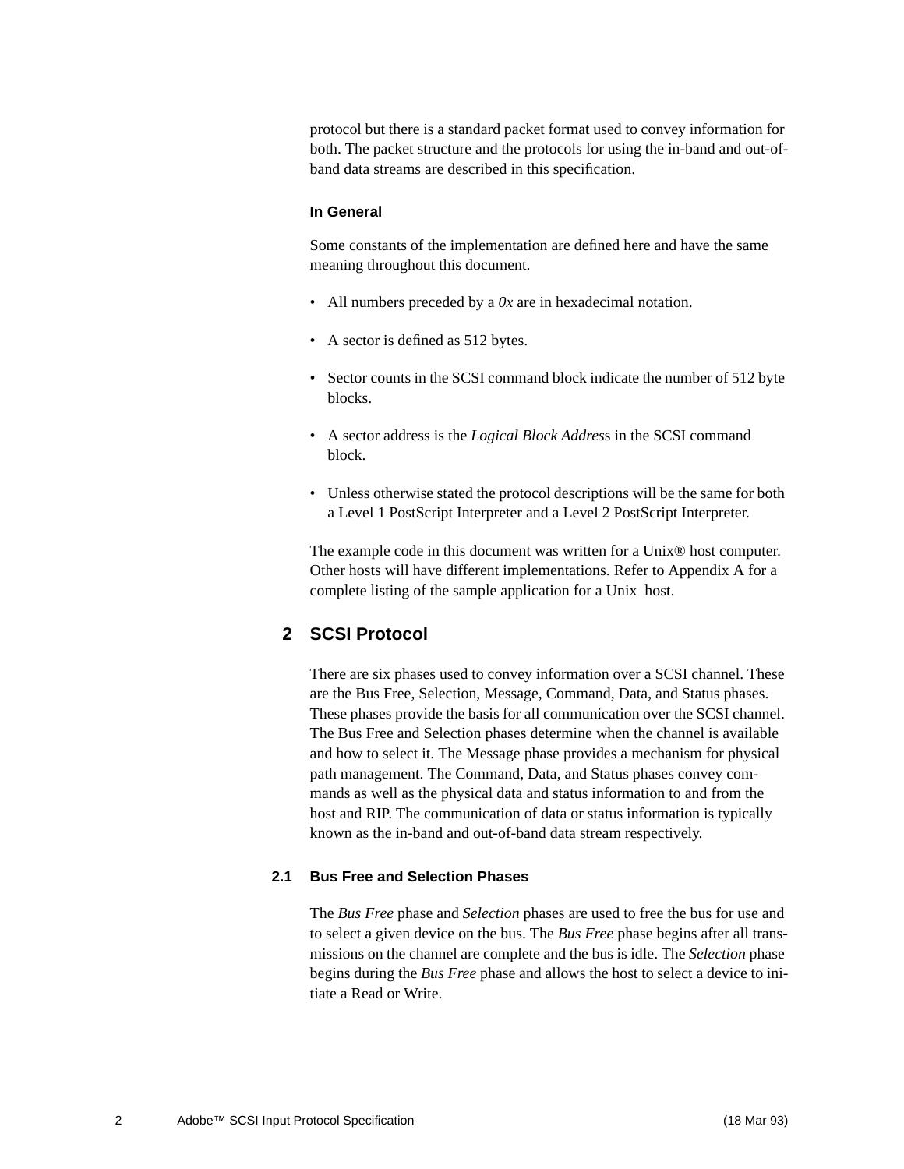protocol but there is a standard packet format used to convey information for both. The packet structure and the protocols for using the in-band and out-ofband data streams are described in this specification.

#### **In General**

Some constants of the implementation are defined here and have the same meaning throughout this document.

- All numbers preceded by a *0x* are in hexadecimal notation.
- A sector is defined as 512 bytes.
- Sector counts in the SCSI command block indicate the number of 512 byte blocks.
- A sector address is the *Logical Block Addres*s in the SCSI command block.
- Unless otherwise stated the protocol descriptions will be the same for both a Level 1 PostScript Interpreter and a Level 2 PostScript Interpreter.

The example code in this document was written for a Unix® host computer. Other hosts will have different implementations. Refer to Appendix A for a complete listing of the sample application for a Unix host.

### **2 SCSI Protocol**

There are six phases used to convey information over a SCSI channel. These are the Bus Free, Selection, Message, Command, Data, and Status phases. These phases provide the basis for all communication over the SCSI channel. The Bus Free and Selection phases determine when the channel is available and how to select it. The Message phase provides a mechanism for physical path management. The Command, Data, and Status phases convey commands as well as the physical data and status information to and from the host and RIP. The communication of data or status information is typically known as the in-band and out-of-band data stream respectively.

#### **2.1 Bus Free and Selection Phases**

The *Bus Free* phase and *Selection* phases are used to free the bus for use and to select a given device on the bus. The *Bus Free* phase begins after all transmissions on the channel are complete and the bus is idle. The *Selection* phase begins during the *Bus Free* phase and allows the host to select a device to initiate a Read or Write.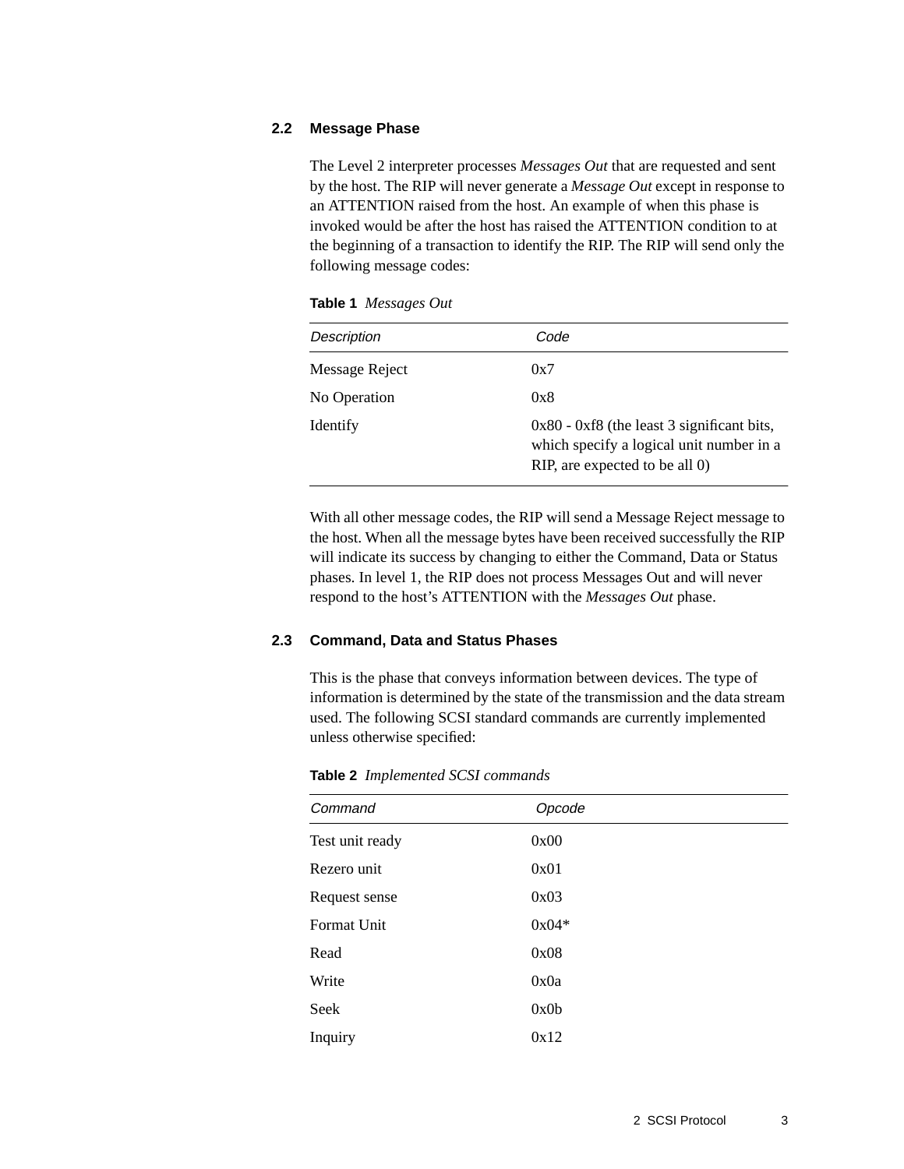#### **2.2 Message Phase**

The Level 2 interpreter processes *Messages Out* that are requested and sent by the host. The RIP will never generate a *Message Out* except in response to an ATTENTION raised from the host. An example of when this phase is invoked would be after the host has raised the ATTENTION condition to at the beginning of a transaction to identify the RIP. The RIP will send only the following message codes:

**Table 1** *Messages Out*

| <b>Description</b> | Code                                                                                                                       |
|--------------------|----------------------------------------------------------------------------------------------------------------------------|
| Message Reject     | 0x7                                                                                                                        |
| No Operation       | 0x8                                                                                                                        |
| Identify           | $0x80 - 0xf8$ (the least 3 significant bits,<br>which specify a logical unit number in a<br>RIP, are expected to be all 0) |

With all other message codes, the RIP will send a Message Reject message to the host. When all the message bytes have been received successfully the RIP will indicate its success by changing to either the Command, Data or Status phases. In level 1, the RIP does not process Messages Out and will never respond to the host's ATTENTION with the *Messages Out* phase.

#### **2.3 Command, Data and Status Phases**

This is the phase that conveys information between devices. The type of information is determined by the state of the transmission and the data stream used. The following SCSI standard commands are currently implemented unless otherwise specified:

| Command         | Opcode  |  |
|-----------------|---------|--|
| Test unit ready | 0x00    |  |
| Rezero unit     | 0x01    |  |
| Request sense   | 0x03    |  |
| Format Unit     | $0x04*$ |  |
| Read            | 0x08    |  |
| Write           | 0x0a    |  |
| Seek            | 0x0b    |  |
| Inquiry         | 0x12    |  |

**Table 2** *Implemented SCSI commands*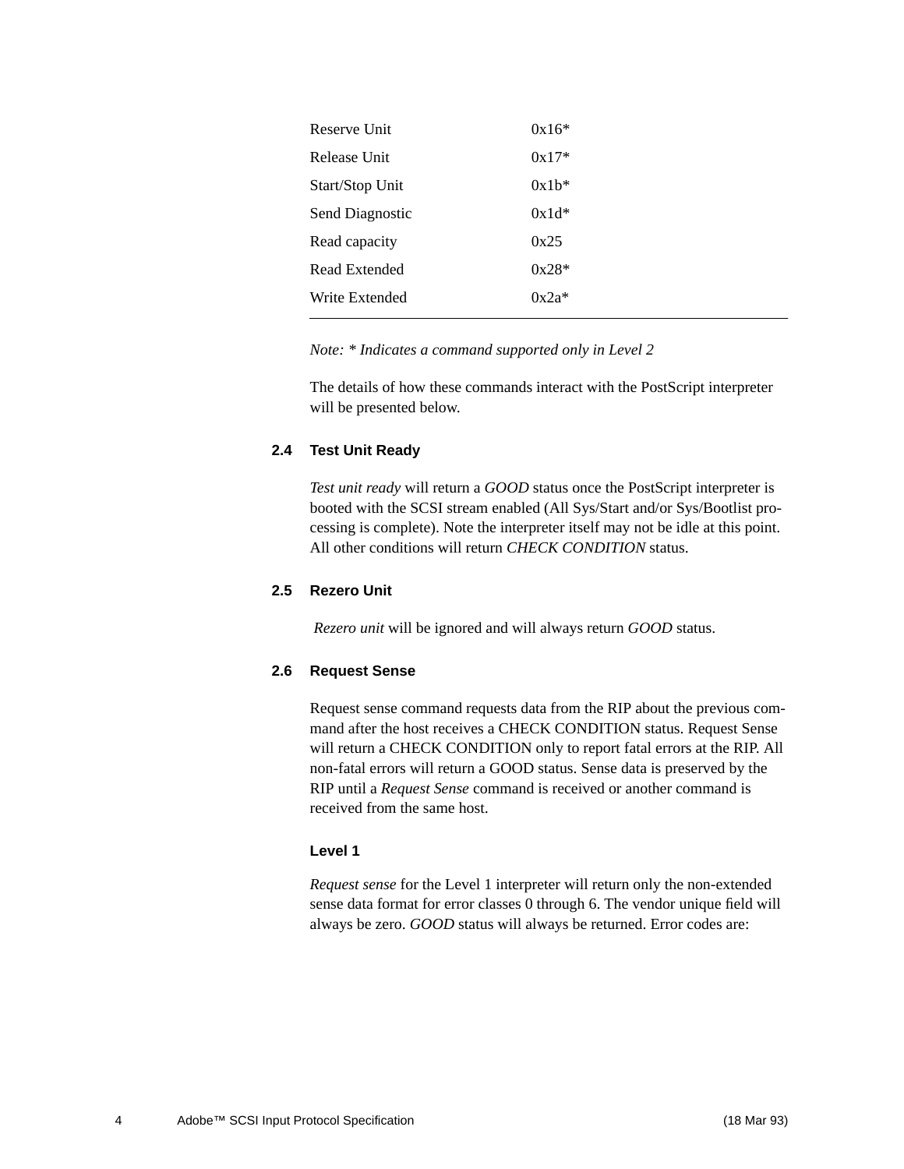| Reserve Unit    | $0x16*$ |
|-----------------|---------|
| Release Unit    | $0x17*$ |
| Start/Stop Unit | $0x1b*$ |
| Send Diagnostic | $0x1d*$ |
| Read capacity   | 0x25    |
| Read Extended   | $0x28*$ |
| Write Extended  | $0x2a*$ |
|                 |         |

*Note: \* Indicates a command supported only in Level 2*

The details of how these commands interact with the PostScript interpreter will be presented below.

#### **2.4 Test Unit Ready**

*Test unit ready* will return a *GOOD* status once the PostScript interpreter is booted with the SCSI stream enabled (All Sys/Start and/or Sys/Bootlist processing is complete). Note the interpreter itself may not be idle at this point. All other conditions will return *CHECK CONDITION* status.

#### **2.5 Rezero Unit**

*Rezero unit* will be ignored and will always return *GOOD* status.

#### **2.6 Request Sense**

Request sense command requests data from the RIP about the previous command after the host receives a CHECK CONDITION status. Request Sense will return a CHECK CONDITION only to report fatal errors at the RIP. All non-fatal errors will return a GOOD status. Sense data is preserved by the RIP until a *Request Sense* command is received or another command is received from the same host.

#### **Level 1**

*Request sense* for the Level 1 interpreter will return only the non-extended sense data format for error classes 0 through 6. The vendor unique field will always be zero. *GOOD* status will always be returned. Error codes are: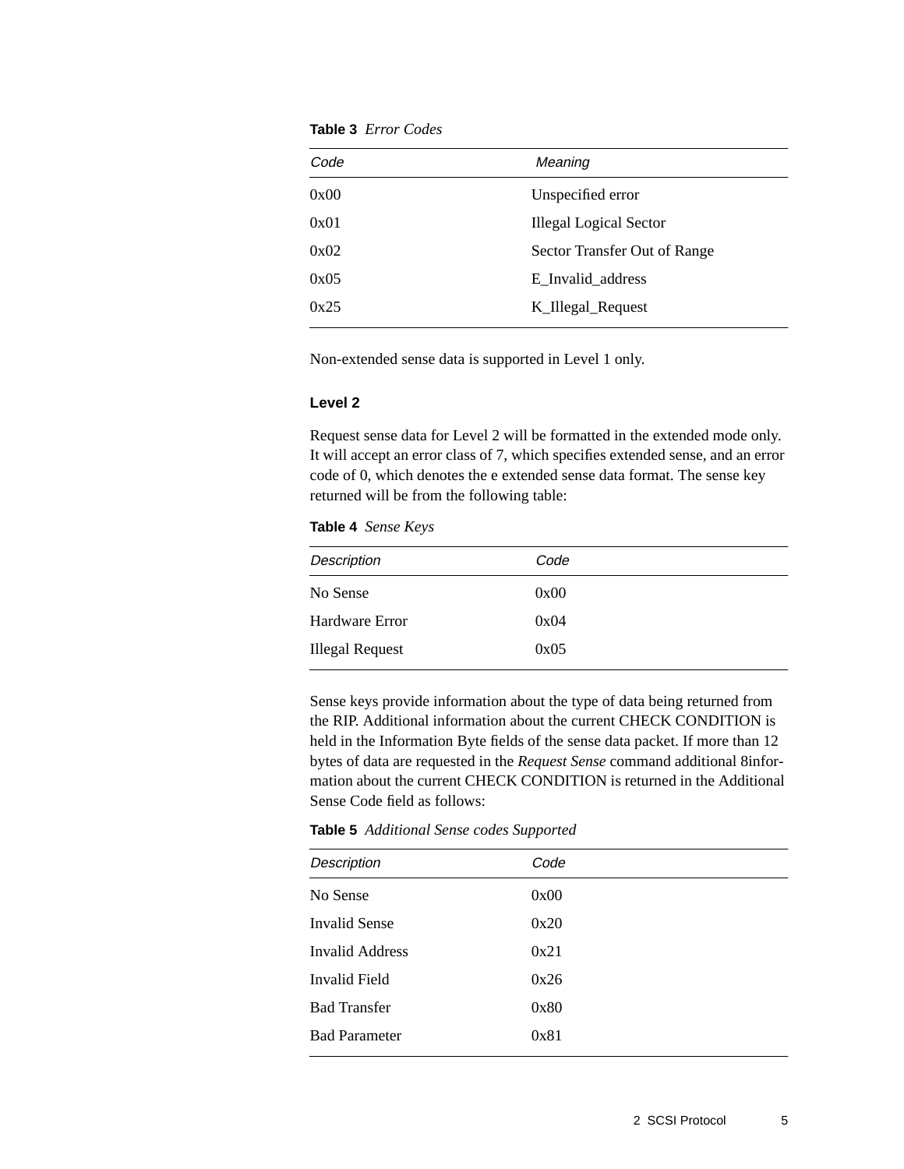**Table 3** *Error Codes*

| Code | Meaning                       |  |
|------|-------------------------------|--|
| 0x00 | Unspecified error             |  |
| 0x01 | <b>Illegal Logical Sector</b> |  |
| 0x02 | Sector Transfer Out of Range  |  |
| 0x05 | E Invalid address             |  |
| 0x25 | K_Illegal_Request             |  |
|      |                               |  |

Non-extended sense data is supported in Level 1 only.

#### **Level 2**

Request sense data for Level 2 will be formatted in the extended mode only. It will accept an error class of 7, which specifies extended sense, and an error code of 0, which denotes the e extended sense data format. The sense key returned will be from the following table:

| <b>Table 4</b> Sense Keys |  |  |
|---------------------------|--|--|
|---------------------------|--|--|

| <b>Description</b>     | Code |  |
|------------------------|------|--|
| No Sense               | 0x00 |  |
| Hardware Error         | 0x04 |  |
| <b>Illegal Request</b> | 0x05 |  |
|                        |      |  |

Sense keys provide information about the type of data being returned from the RIP. Additional information about the current CHECK CONDITION is held in the Information Byte fields of the sense data packet. If more than 12 bytes of data are requested in the *Request Sense* command additional 8information about the current CHECK CONDITION is returned in the Additional Sense Code field as follows:

**Table 5** *Additional Sense codes Supported*

| <b>Description</b>   | Code |  |
|----------------------|------|--|
| No Sense             | 0x00 |  |
| <b>Invalid Sense</b> | 0x20 |  |
| Invalid Address      | 0x21 |  |
| Invalid Field        | 0x26 |  |
| <b>Bad Transfer</b>  | 0x80 |  |
| <b>Bad Parameter</b> | 0x81 |  |
|                      |      |  |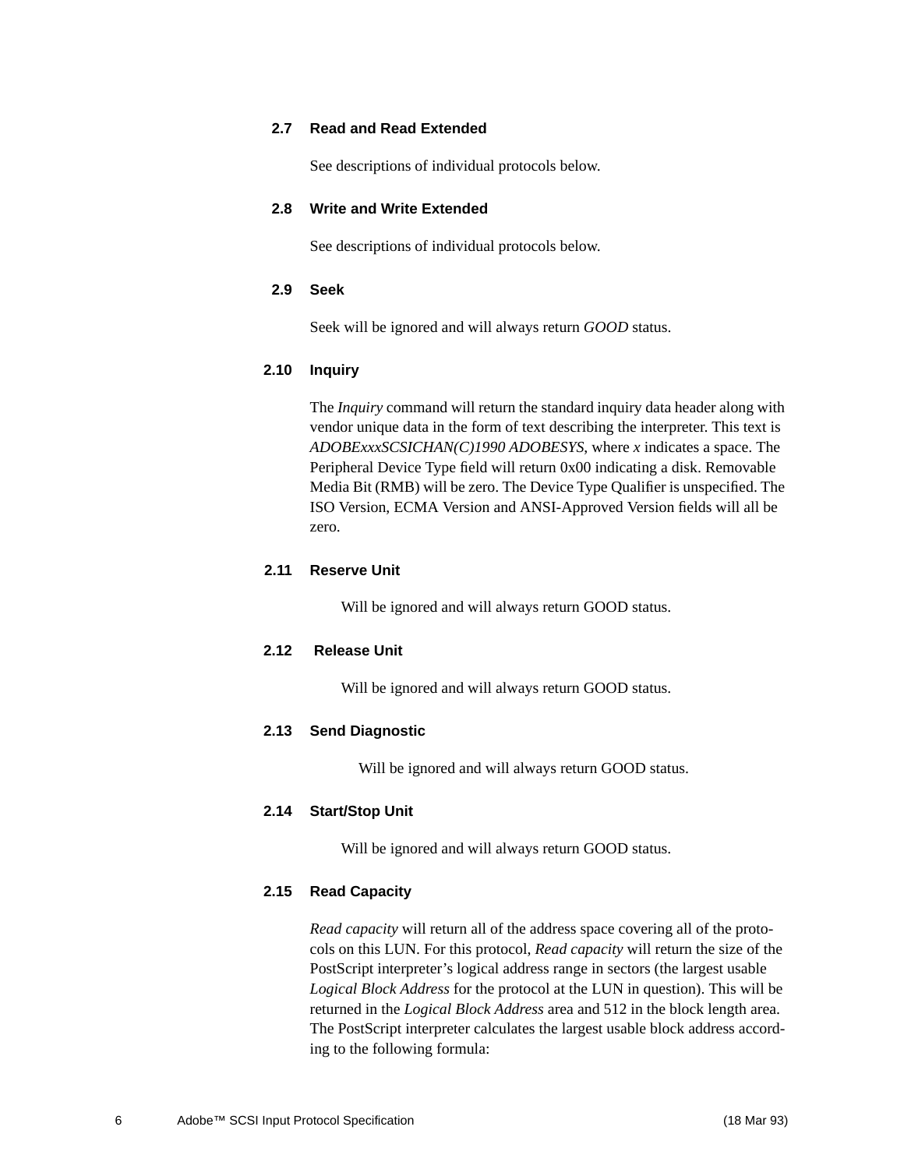#### **2.7 Read and Read Extended**

See descriptions of individual protocols below.

#### **2.8 Write and Write Extended**

See descriptions of individual protocols below.

#### **2.9 Seek**

Seek will be ignored and will always return *GOOD* status.

#### **2.10 Inquiry**

The *Inquiry* command will return the standard inquiry data header along with vendor unique data in the form of text describing the interpreter. This text is *ADOBExxxSCSICHAN(C)1990 ADOBESYS*, where *x* indicates a space. The Peripheral Device Type field will return 0x00 indicating a disk. Removable Media Bit (RMB) will be zero. The Device Type Qualifier is unspecified. The ISO Version, ECMA Version and ANSI-Approved Version fields will all be zero.

#### **2.11 Reserve Unit**

Will be ignored and will always return GOOD status.

#### **2.12 Release Unit**

Will be ignored and will always return GOOD status.

#### **2.13 Send Diagnostic**

Will be ignored and will always return GOOD status.

#### **2.14 Start/Stop Unit**

Will be ignored and will always return GOOD status.

#### **2.15 Read Capacity**

*Read capacity* will return all of the address space covering all of the protocols on this LUN. For this protocol, *Read capacity* will return the size of the PostScript interpreter's logical address range in sectors (the largest usable *Logical Block Address* for the protocol at the LUN in question). This will be returned in the *Logical Block Address* area and 512 in the block length area. The PostScript interpreter calculates the largest usable block address according to the following formula: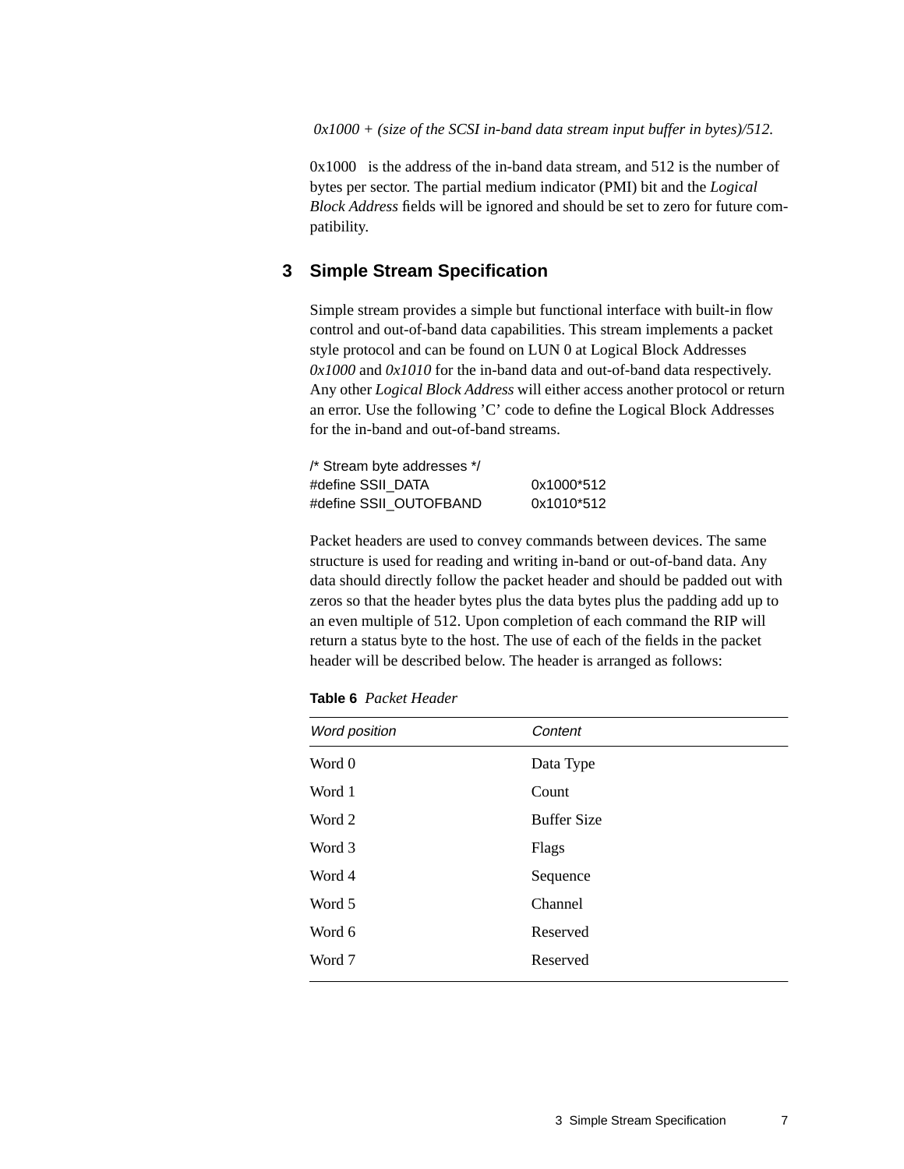*0x1000 + (size of the SCSI in-band data stream input buffer in bytes)/512.*

 $0x1000$  is the address of the in-band data stream, and 512 is the number of bytes per sector. The partial medium indicator (PMI) bit and the *Logical Block Address* fields will be ignored and should be set to zero for future compatibility.

### **3 Simple Stream Specification**

Simple stream provides a simple but functional interface with built-in flow control and out-of-band data capabilities. This stream implements a packet style protocol and can be found on LUN 0 at Logical Block Addresses *0x1000* and *0x1010* for the in-band data and out-of-band data respectively. Any other *Logical Block Address* will either access another protocol or return an error. Use the following 'C' code to define the Logical Block Addresses for the in-band and out-of-band streams.

| /* Stream byte addresses */ |            |
|-----------------------------|------------|
| #define SSII DATA           | 0x1000*512 |
| #define SSII OUTOFBAND      | 0x1010*512 |

Packet headers are used to convey commands between devices. The same structure is used for reading and writing in-band or out-of-band data. Any data should directly follow the packet header and should be padded out with zeros so that the header bytes plus the data bytes plus the padding add up to an even multiple of 512. Upon completion of each command the RIP will return a status byte to the host. The use of each of the fields in the packet header will be described below. The header is arranged as follows:

| <b>Table 6</b> Packet Header |  |  |
|------------------------------|--|--|
|------------------------------|--|--|

| Word position | Content            |
|---------------|--------------------|
| Word 0        | Data Type          |
| Word 1        | Count              |
| Word 2        | <b>Buffer Size</b> |
| Word 3        | Flags              |
| Word 4        | Sequence           |
| Word 5        | Channel            |
| Word 6        | Reserved           |
| Word 7        | Reserved           |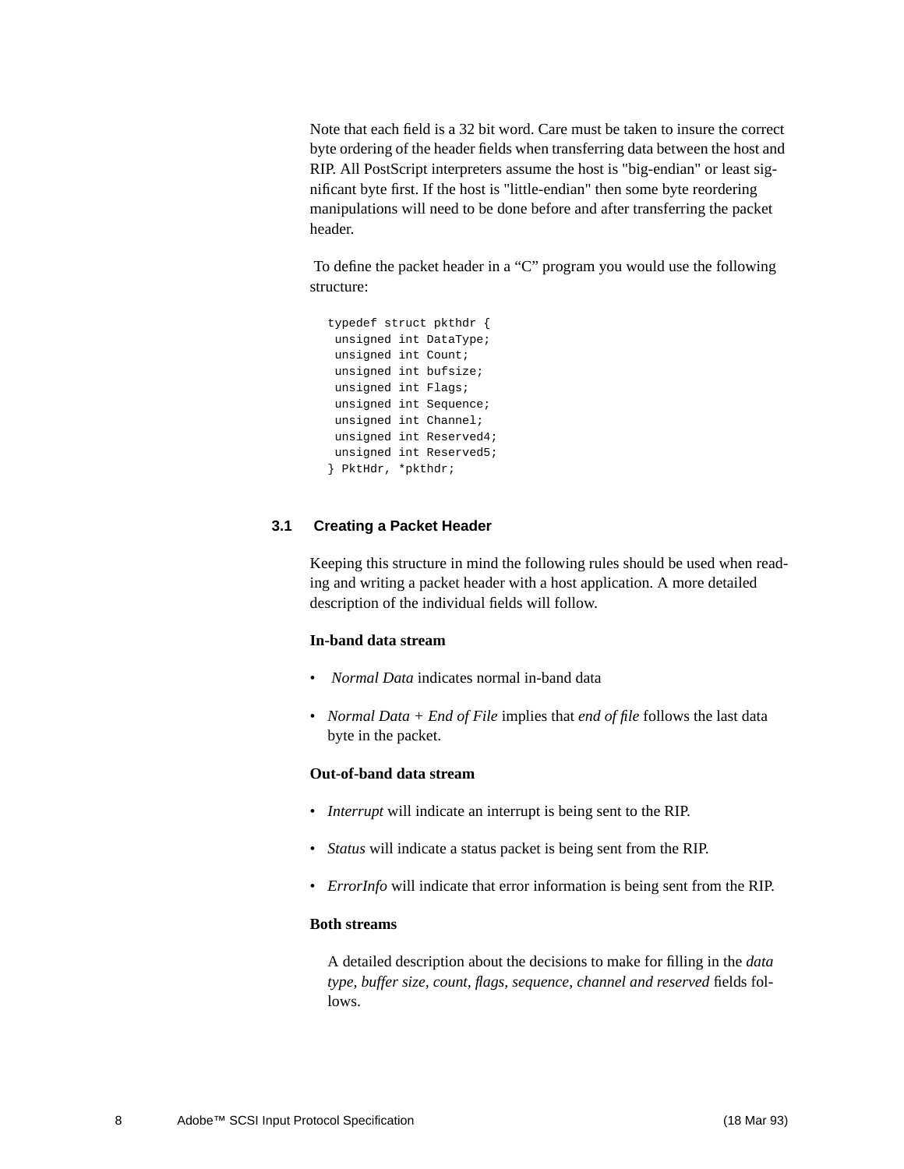Note that each field is a 32 bit word. Care must be taken to insure the correct byte ordering of the header fields when transferring data between the host and RIP. All PostScript interpreters assume the host is "big-endian" or least significant byte first. If the host is "little-endian" then some byte reordering manipulations will need to be done before and after transferring the packet header.

 To define the packet header in a "C" program you would use the following structure:

```
typedef struct pkthdr {
 unsigned int DataType;
 unsigned int Count;
 unsigned int bufsize;
 unsigned int Flags;
 unsigned int Sequence;
 unsigned int Channel;
 unsigned int Reserved4;
 unsigned int Reserved5;
} PktHdr, *pkthdr;
```
#### **3.1 Creating a Packet Header**

Keeping this structure in mind the following rules should be used when reading and writing a packet header with a host application. A more detailed description of the individual fields will follow.

#### **In-band data stream**

- *Normal Data* indicates normal in-band data
- *Normal Data + End of File* implies that *end of file* follows the last data byte in the packet.

#### **Out-of-band data stream**

- *Interrupt* will indicate an interrupt is being sent to the RIP.
- *Status* will indicate a status packet is being sent from the RIP.
- *ErrorInfo* will indicate that error information is being sent from the RIP.

#### **Both streams**

A detailed description about the decisions to make for filling in the *data type, buffer size, count, flags, sequence, channel and reserved* fields follows.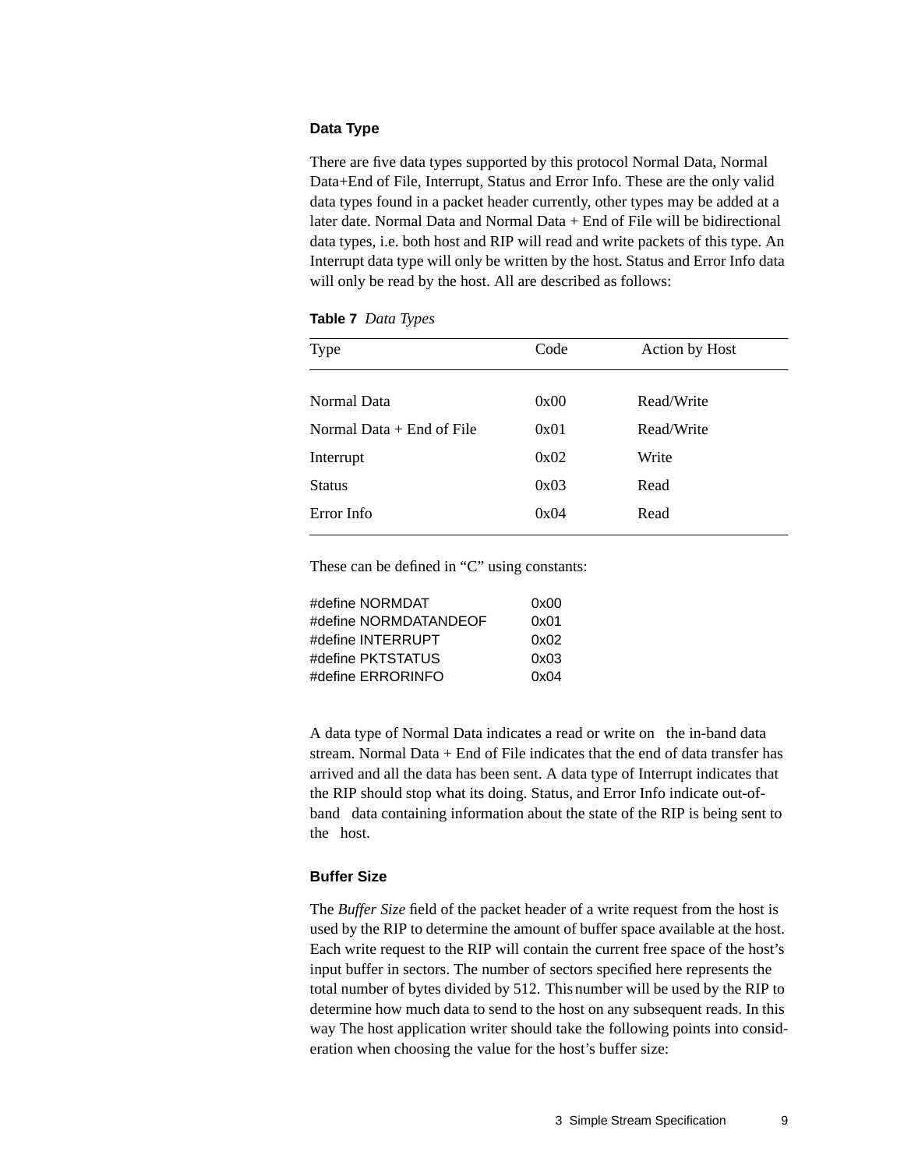#### **Data Type**

There are five data types supported by this protocol Normal Data, Normal Data+End of File, Interrupt, Status and Error Info. These are the only valid data types found in a packet header currently, other types may be added at a later date. Normal Data and Normal Data + End of File will be bidirectional data types, i.e. both host and RIP will read and write packets of this type. An Interrupt data type will only be written by the host. Status and Error Info data will only be read by the host. All are described as follows:

| <b>Table 7</b> Data Types |  |  |
|---------------------------|--|--|
|---------------------------|--|--|

| <b>Type</b>                 | Code | Action by Host |
|-----------------------------|------|----------------|
|                             |      |                |
| Normal Data                 | 0x00 | Read/Write     |
| Normal Data $+$ End of File | 0x01 | Read/Write     |
| Interrupt                   | 0x02 | Write          |
| <b>Status</b>               | 0x03 | Read           |
| Error Info                  | 0x04 | Read           |
|                             |      |                |

These can be defined in "C" using constants:

| #define NORMDAT       | 0x00 |
|-----------------------|------|
| #define NORMDATANDEOF | 0x01 |
| #define INTERRUPT     | 0x02 |
| #define PKTSTATUS     | 0x03 |
| #define ERRORINFO     | 0x04 |

A data type of Normal Data indicates a read or write on the in-band data stream. Normal Data + End of File indicates that the end of data transfer has arrived and all the data has been sent. A data type of Interrupt indicates that the RIP should stop what its doing. Status, and Error Info indicate out-ofband data containing information about the state of the RIP is being sent to the host.

#### **Buffer Size**

The *Buffer Size* field of the packet header of a write request from the host is used by the RIP to determine the amount of buffer space available at the host. Each write request to the RIP will contain the current free space of the host's input buffer in sectors. The number of sectors specified here represents the total number of bytes divided by 512. This number will be used by the RIP to determine how much data to send to the host on any subsequent reads. In this way The host application writer should take the following points into consideration when choosing the value for the host's buffer size: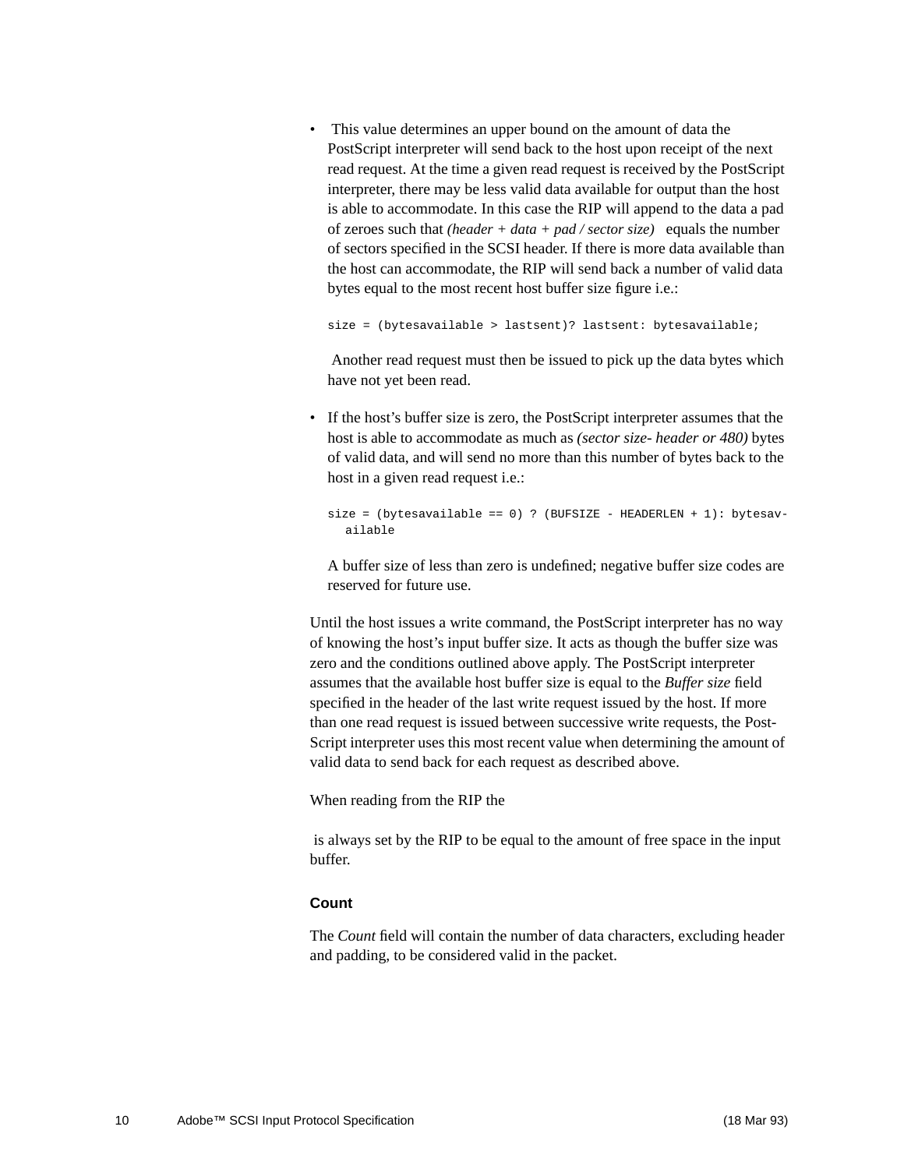• This value determines an upper bound on the amount of data the PostScript interpreter will send back to the host upon receipt of the next read request. At the time a given read request is received by the PostScript interpreter, there may be less valid data available for output than the host is able to accommodate. In this case the RIP will append to the data a pad of zeroes such that *(header + data + pad / sector size)* equals the number of sectors specified in the SCSI header. If there is more data available than the host can accommodate, the RIP will send back a number of valid data bytes equal to the most recent host buffer size figure i.e.:

size = (bytesavailable > lastsent)? lastsent: bytesavailable;

 Another read request must then be issued to pick up the data bytes which have not yet been read.

• If the host's buffer size is zero, the PostScript interpreter assumes that the host is able to accommodate as much as *(sector size- header or 480)* bytes of valid data, and will send no more than this number of bytes back to the host in a given read request i.e.:

```
size = (bytes available == 0) ? (BUFSIZE - HEADERLEN + 1): bytesav-
  ailable
```
A buffer size of less than zero is undefined; negative buffer size codes are reserved for future use.

Until the host issues a write command, the PostScript interpreter has no way of knowing the host's input buffer size. It acts as though the buffer size was zero and the conditions outlined above apply. The PostScript interpreter assumes that the available host buffer size is equal to the *Buffer size* field specified in the header of the last write request issued by the host. If more than one read request is issued between successive write requests, the Post-Script interpreter uses this most recent value when determining the amount of valid data to send back for each request as described above.

When reading from the RIP the

 is always set by the RIP to be equal to the amount of free space in the input buffer.

#### **Count**

The *Count* field will contain the number of data characters, excluding header and padding, to be considered valid in the packet.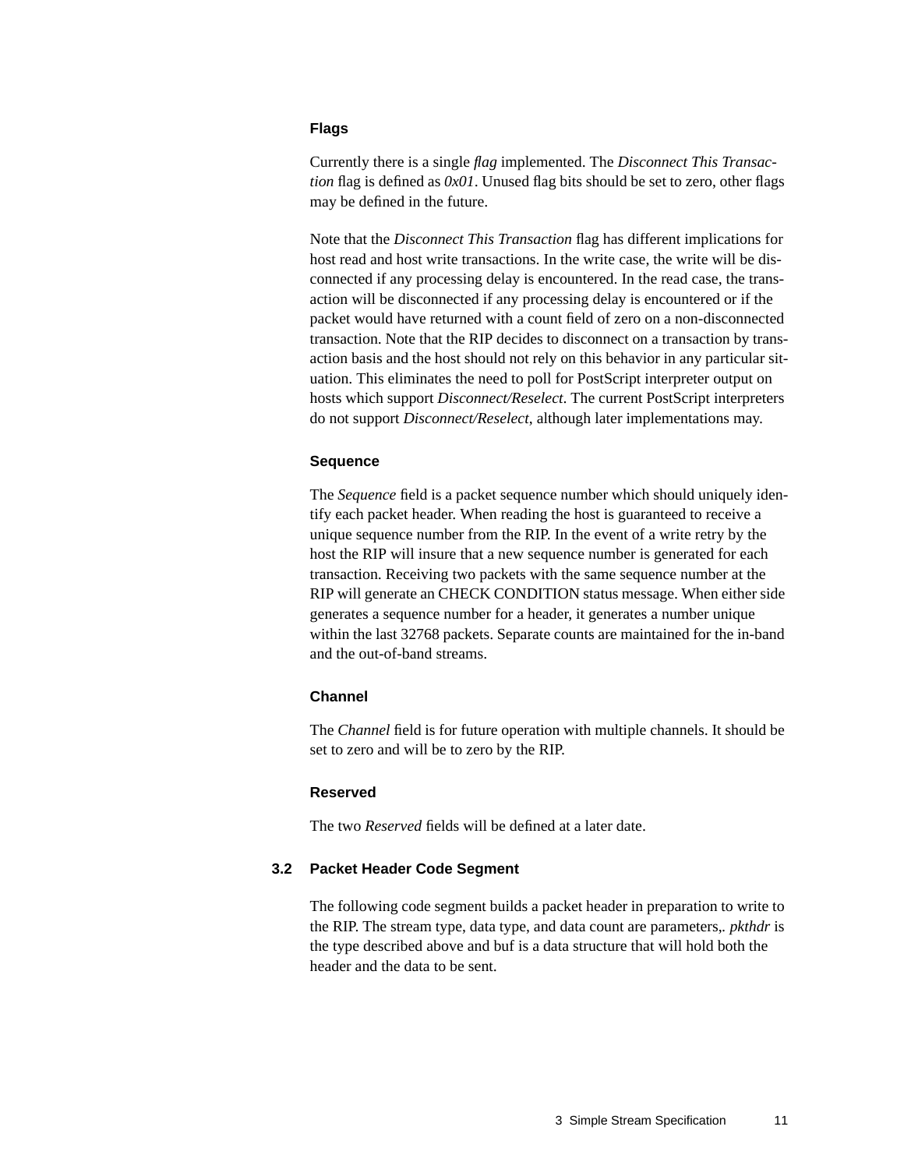#### **Flags**

Currently there is a single *flag* implemented. The *Disconnect This Transaction* flag is defined as  $0x01$ . Unused flag bits should be set to zero, other flags may be defined in the future.

Note that the *Disconnect This Transaction* flag has different implications for host read and host write transactions. In the write case, the write will be disconnected if any processing delay is encountered. In the read case, the transaction will be disconnected if any processing delay is encountered or if the packet would have returned with a count field of zero on a non-disconnected transaction. Note that the RIP decides to disconnect on a transaction by transaction basis and the host should not rely on this behavior in any particular situation. This eliminates the need to poll for PostScript interpreter output on hosts which support *Disconnect/Reselect*. The current PostScript interpreters do not support *Disconnect/Reselect*, although later implementations may.

#### **Sequence**

The *Sequence* field is a packet sequence number which should uniquely identify each packet header. When reading the host is guaranteed to receive a unique sequence number from the RIP. In the event of a write retry by the host the RIP will insure that a new sequence number is generated for each transaction. Receiving two packets with the same sequence number at the RIP will generate an CHECK CONDITION status message. When either side generates a sequence number for a header, it generates a number unique within the last 32768 packets. Separate counts are maintained for the in-band and the out-of-band streams.

#### **Channel**

The *Channel* field is for future operation with multiple channels. It should be set to zero and will be to zero by the RIP.

#### **Reserved**

The two *Reserved* fields will be defined at a later date.

#### **3.2 Packet Header Code Segment**

The following code segment builds a packet header in preparation to write to the RIP. The stream type, data type, and data count are parameters,*. pkthdr* is the type described above and buf is a data structure that will hold both the header and the data to be sent.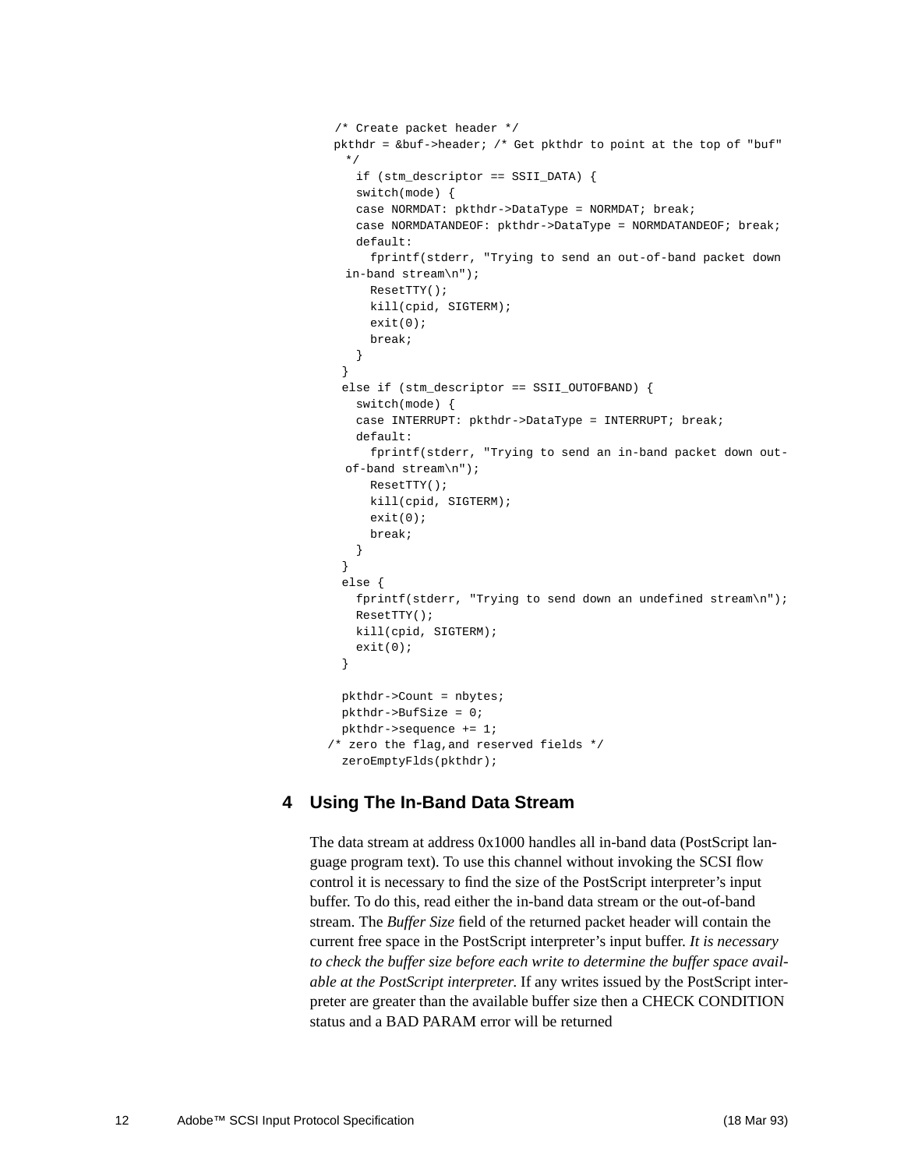```
 /* Create packet header */
 pkthdr = &buf->header; /* Get pkthdr to point at the top of "buf"
  */
    if (stm_descriptor == SSII_DATA) {
    switch(mode) {
    case NORMDAT: pkthdr->DataType = NORMDAT; break;
    case NORMDATANDEOF: pkthdr->DataType = NORMDATANDEOF; break;
    default:
      fprintf(stderr, "Trying to send an out-of-band packet down
  in-band stream\n");
      ResetTTY();
      kill(cpid, SIGTERM);
     exit(0); break;
    }
  }
  else if (stm_descriptor == SSII_OUTOFBAND) {
    switch(mode) {
    case INTERRUPT: pkthdr->DataType = INTERRUPT; break;
    default:
      fprintf(stderr, "Trying to send an in-band packet down out-
  of-band stream\n");
      ResetTTY();
      kill(cpid, SIGTERM);
     exit(0); break;
    }
  }
  else {
    fprintf(stderr, "Trying to send down an undefined stream\n");
    ResetTTY();
    kill(cpid, SIGTERM);
   exit(0); }
  pkthdr->Count = nbytes;
  pkthdr->BufSize = 0;
  pkthdr->sequence += 1;
/* zero the flag,and reserved fields */
  zeroEmptyFlds(pkthdr);
```
## **4 Using The In-Band Data Stream**

The data stream at address 0x1000 handles all in-band data (PostScript language program text). To use this channel without invoking the SCSI flow control it is necessary to find the size of the PostScript interpreter's input buffer. To do this, read either the in-band data stream or the out-of-band stream. The *Buffer Size* field of the returned packet header will contain the current free space in the PostScript interpreter's input buffer. *It is necessary to check the buffer size before each write to determine the buffer space available at the PostScript interpreter*. If any writes issued by the PostScript interpreter are greater than the available buffer size then a CHECK CONDITION status and a BAD PARAM error will be returned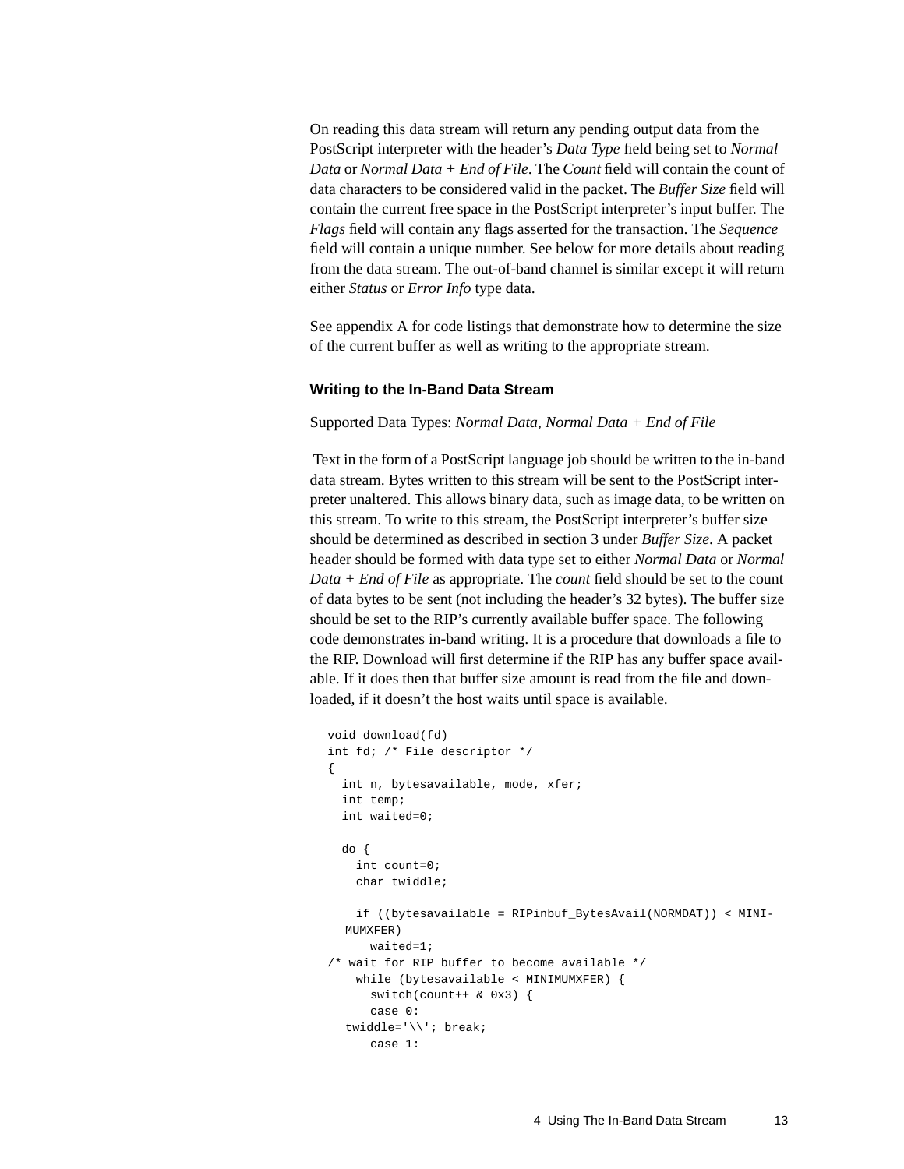On reading this data stream will return any pending output data from the PostScript interpreter with the header's *Data Type* field being set to *Normal Data* or *Normal Data + End of File*. The *Count* field will contain the count of data characters to be considered valid in the packet. The *Buffer Size* field will contain the current free space in the PostScript interpreter's input buffer. The *Flags* field will contain any flags asserted for the transaction. The *Sequence* field will contain a unique number. See below for more details about reading from the data stream. The out-of-band channel is similar except it will return either *Status* or *Error Info* type data.

See appendix A for code listings that demonstrate how to determine the size of the current buffer as well as writing to the appropriate stream.

#### **Writing to the In-Band Data Stream**

Supported Data Types: *Normal Data, Normal Data + End of File*

 Text in the form of a PostScript language job should be written to the in-band data stream. Bytes written to this stream will be sent to the PostScript interpreter unaltered. This allows binary data, such as image data, to be written on this stream. To write to this stream, the PostScript interpreter's buffer size should be determined as described in section 3 under *Buffer Size*. A packet header should be formed with data type set to either *Normal Data* or *Normal Data + End of File* as appropriate. The *count* field should be set to the count of data bytes to be sent (not including the header's 32 bytes). The buffer size should be set to the RIP's currently available buffer space. The following code demonstrates in-band writing. It is a procedure that downloads a file to the RIP. Download will first determine if the RIP has any buffer space available. If it does then that buffer size amount is read from the file and downloaded, if it doesn't the host waits until space is available.

```
void download(fd)
int fd; /* File descriptor */
{
  int n, bytesavailable, mode, xfer;
  int temp;
  int waited=0;
  do {
    int count=0;
     char twiddle;
     if ((bytesavailable = RIPinbuf_BytesAvail(NORMDAT)) < MINI-
  MUMXFER)
       waited=1;
/* wait for RIP buffer to become available */
    while (bytesavailable < MINIMUMXFER) {
      switch(count++ & 0x3) {
       case 0:
  twiddle='\\'; break;
       case 1:
```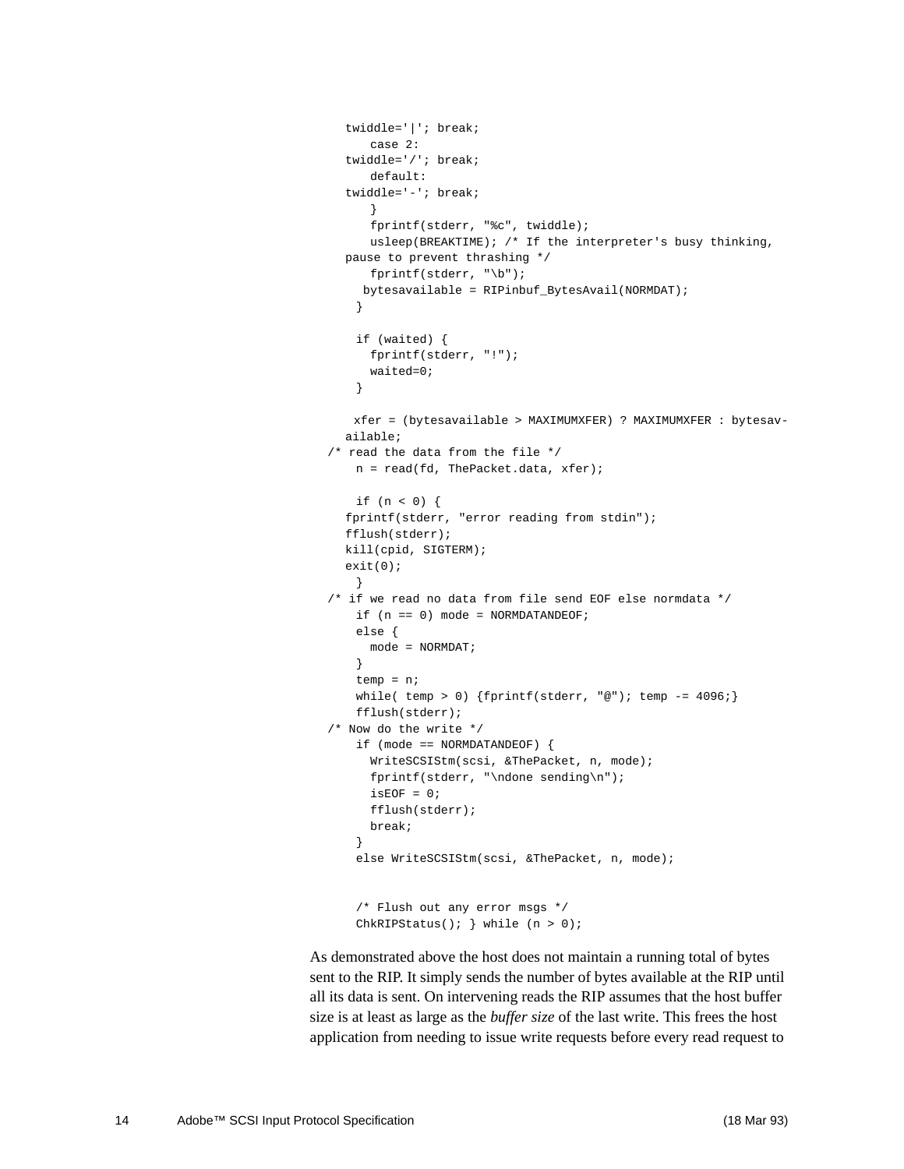```
twiddle='|'; break;
      case 2:
  twiddle='/'; break;
      default:
  twiddle='-'; break;
       }
      fprintf(stderr, "%c", twiddle);
     usleep(BREAKTIME); /* If the interpreter's busy thinking,
  pause to prevent thrashing */
      fprintf(stderr, "\b");
     bytesavailable = RIPinbuf_BytesAvail(NORMDAT);
    }
    if (waited) {
      fprintf(stderr, "!");
      waited=0;
    }
    xfer = (bytesavailable > MAXIMUMXFER) ? MAXIMUMXFER : bytesav-
  ailable;
/* read the data from the file */
    n = read(fd, ThePacket.data, xfer);
    if (n < 0) {
  fprintf(stderr, "error reading from stdin");
  fflush(stderr);
  kill(cpid, SIGTERM);
  exit(0); }
/* if we read no data from file send EOF else normdata */
   if (n == 0) mode = NORMDATANDEOF;
    else {
     mode = NORMAL }
    temp = n;
   while( temp > 0) {fprintf(\text{stderr}, "@"); temp = 4096}; fflush(stderr);
/* Now do the write */
    if (mode == NORMDATANDEOF) {
      WriteSCSIStm(scsi, &ThePacket, n, mode);
      fprintf(stderr, "\ndone sending\n");
     isEOF = 0;
      fflush(stderr);
      break;
 }
    else WriteSCSIStm(scsi, &ThePacket, n, mode);
     /* Flush out any error msgs */
   ChkRIPStatus(); } while (n > 0);
```
As demonstrated above the host does not maintain a running total of bytes sent to the RIP. It simply sends the number of bytes available at the RIP until all its data is sent. On intervening reads the RIP assumes that the host buffer size is at least as large as the *buffer size* of the last write. This frees the host application from needing to issue write requests before every read request to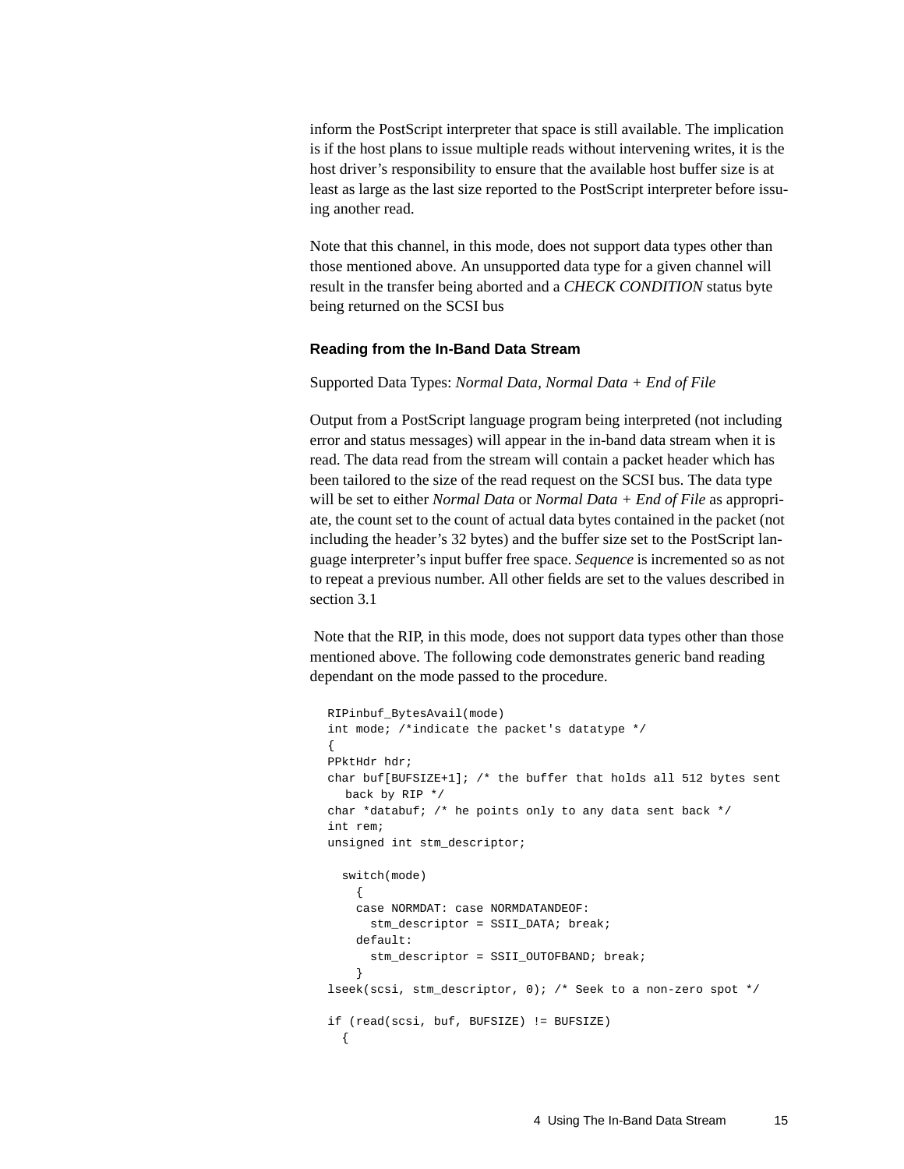inform the PostScript interpreter that space is still available. The implication is if the host plans to issue multiple reads without intervening writes, it is the host driver's responsibility to ensure that the available host buffer size is at least as large as the last size reported to the PostScript interpreter before issuing another read.

Note that this channel, in this mode, does not support data types other than those mentioned above. An unsupported data type for a given channel will result in the transfer being aborted and a *CHECK CONDITION* status byte being returned on the SCSI bus

#### **Reading from the In-Band Data Stream**

Supported Data Types: *Normal Data, Normal Data + End of File*

Output from a PostScript language program being interpreted (not including error and status messages) will appear in the in-band data stream when it is read. The data read from the stream will contain a packet header which has been tailored to the size of the read request on the SCSI bus. The data type will be set to either *Normal Data* or *Normal Data + End of File* as appropriate, the count set to the count of actual data bytes contained in the packet (not including the header's 32 bytes) and the buffer size set to the PostScript language interpreter's input buffer free space. *Sequence* is incremented so as not to repeat a previous number. All other fields are set to the values described in section 3.1

 Note that the RIP, in this mode, does not support data types other than those mentioned above. The following code demonstrates generic band reading dependant on the mode passed to the procedure.

```
RIPinbuf_BytesAvail(mode)
int mode; /*indicate the packet's datatype */
{
PPktHdr hdr;
char buf[BUFSIZE+1]; /* the buffer that holds all 512 bytes sent
  back by RIP */
char *databuf; /* he points only to any data sent back */
int rem;
unsigned int stm_descriptor;
   switch(mode)
    {
    case NORMDAT: case NORMDATANDEOF:
     stm descriptor = SSII DATA; break;
     default:
       stm_descriptor = SSII_OUTOFBAND; break;
     }
lseek(scsi, stm_descriptor, 0); /* Seek to a non-zero spot */
if (read(scsi, buf, BUFSIZE) != BUFSIZE)
   {
```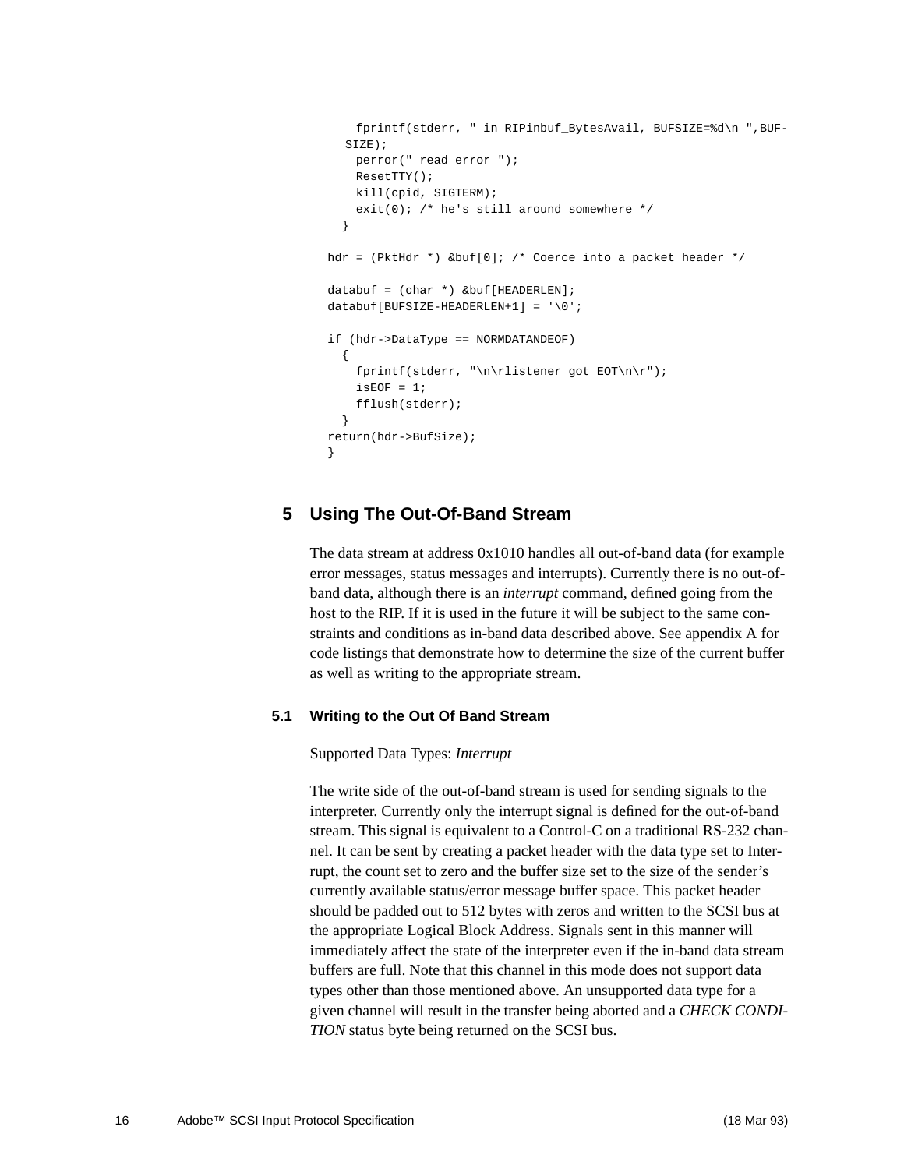```
 fprintf(stderr, " in RIPinbuf_BytesAvail, BUFSIZE=%d\n ",BUF-
  SIZE);
    perror(" read error ");
    ResetTTY();
    kill(cpid, SIGTERM);
    exit(0); /* he's still around somewhere */
   }
hdr = (PktHdr *) &buf[0]; /* Coerce into a packet header */
databuf = (char *) &buf[HEADERLEN];
databuf[BUFSIZE-HEADERLEN+1] = '\0';if (hdr->DataType == NORMDATANDEOF)
  {
     fprintf(stderr, "\n\rlistener got EOT\n\r");
    isEOF = 1;
     fflush(stderr);
 }
return(hdr->BufSize);
}
```
### **5 Using The Out-Of-Band Stream**

The data stream at address 0x1010 handles all out-of-band data (for example error messages, status messages and interrupts). Currently there is no out-ofband data, although there is an *interrupt* command, defined going from the host to the RIP. If it is used in the future it will be subject to the same constraints and conditions as in-band data described above. See appendix A for code listings that demonstrate how to determine the size of the current buffer as well as writing to the appropriate stream.

#### **5.1 Writing to the Out Of Band Stream**

Supported Data Types: *Interrupt*

The write side of the out-of-band stream is used for sending signals to the interpreter. Currently only the interrupt signal is defined for the out-of-band stream. This signal is equivalent to a Control-C on a traditional RS-232 channel. It can be sent by creating a packet header with the data type set to Interrupt, the count set to zero and the buffer size set to the size of the sender's currently available status/error message buffer space. This packet header should be padded out to 512 bytes with zeros and written to the SCSI bus at the appropriate Logical Block Address. Signals sent in this manner will immediately affect the state of the interpreter even if the in-band data stream buffers are full. Note that this channel in this mode does not support data types other than those mentioned above. An unsupported data type for a given channel will result in the transfer being aborted and a *CHECK CONDI-TION* status byte being returned on the SCSI bus.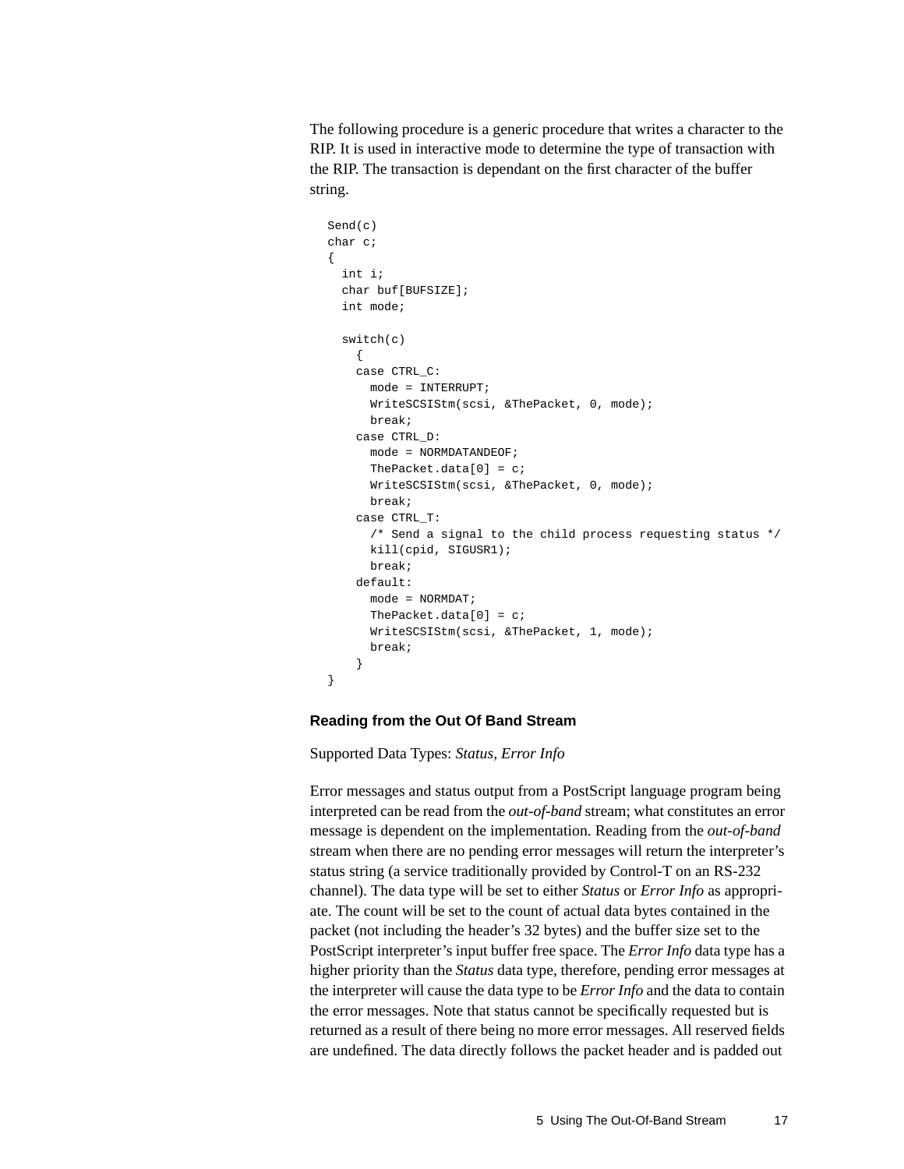The following procedure is a generic procedure that writes a character to the RIP. It is used in interactive mode to determine the type of transaction with the RIP. The transaction is dependant on the first character of the buffer string.

```
Send(c)
char c;
{
  int i;
  char buf[BUFSIZE];
  int mode;
  switch(c)
    {
    case CTRL_C:
      mode = INTERRUPT;
      WriteSCSIStm(scsi, &ThePacket, 0, mode);
      break;
    case CTRL_D:
      mode = NORMDATANDEOF;
     ThePacket.data[0] = ci WriteSCSIStm(scsi, &ThePacket, 0, mode);
      break;
     case CTRL_T:
       /* Send a signal to the child process requesting status */
      kill(cpid, SIGUSR1);
      break;
     default:
      mode = NORMDAT;
      ThePacket.data[0] = ci WriteSCSIStm(scsi, &ThePacket, 1, mode);
       break;
     }
}
```
#### **Reading from the Out Of Band Stream**

Supported Data Types: *Status, Error Info*

Error messages and status output from a PostScript language program being interpreted can be read from the *out-of-band* stream; what constitutes an error message is dependent on the implementation. Reading from the *out-of-band* stream when there are no pending error messages will return the interpreter's status string (a service traditionally provided by Control-T on an RS-232 channel). The data type will be set to either *Status* or *Error Info* as appropriate. The count will be set to the count of actual data bytes contained in the packet (not including the header's 32 bytes) and the buffer size set to the PostScript interpreter's input buffer free space. The *Error Info* data type has a higher priority than the *Status* data type, therefore, pending error messages at the interpreter will cause the data type to be *Error Info* and the data to contain the error messages. Note that status cannot be specifically requested but is returned as a result of there being no more error messages. All reserved fields are undefined. The data directly follows the packet header and is padded out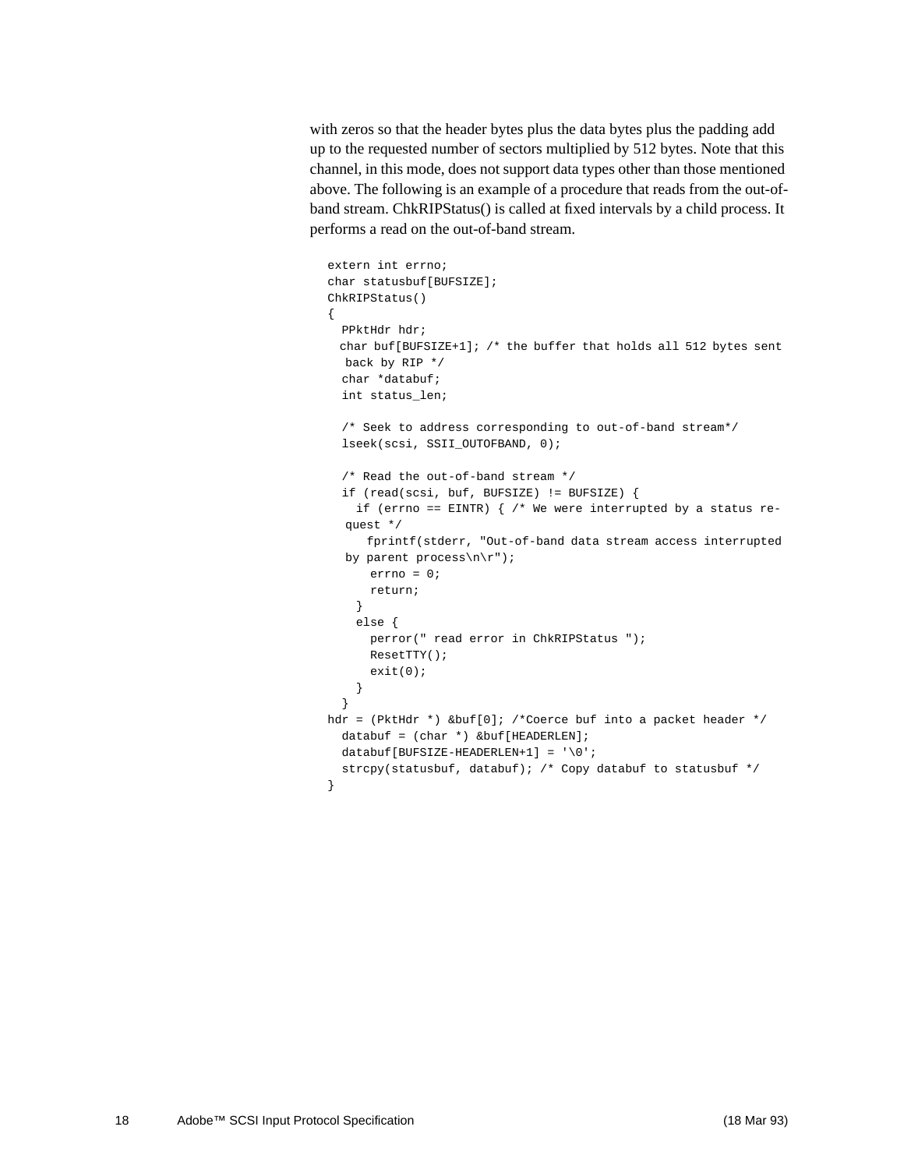with zeros so that the header bytes plus the data bytes plus the padding add up to the requested number of sectors multiplied by 512 bytes. Note that this channel, in this mode, does not support data types other than those mentioned above. The following is an example of a procedure that reads from the out-ofband stream. ChkRIPStatus() is called at fixed intervals by a child process. It performs a read on the out-of-band stream.

```
extern int errno;
char statusbuf[BUFSIZE];
ChkRIPStatus()
{
  PPktHdr hdr;
  char buf[BUFSIZE+1]; /* the buffer that holds all 512 bytes sent
 back by RIP */
  char *databuf;
  int status_len;
   /* Seek to address corresponding to out-of-band stream*/
   lseek(scsi, SSII_OUTOFBAND, 0);
   /* Read the out-of-band stream */
   if (read(scsi, buf, BUFSIZE) != BUFSIZE) {
   if (errno == EINTR) \{ /* We were interrupted by a status re-
  quest */
      fprintf(stderr, "Out-of-band data stream access interrupted
  by parent process\n\r");
      errno = 0;
      return;
     }
     else {
      perror(" read error in ChkRIPStatus ");
      ResetTTY();
      exit(0);
     }
   }
hdr = (PktHdr *) &buf[0]; /*Coerce buf into a packet header */
 databuf = (char *) & but[HEADERLEN];databuf[BUFSIZE-HEADERLEN+1] = '\0';strcpy(statusbuf, databuf); /* Copy databuf to statusbuf */
}
```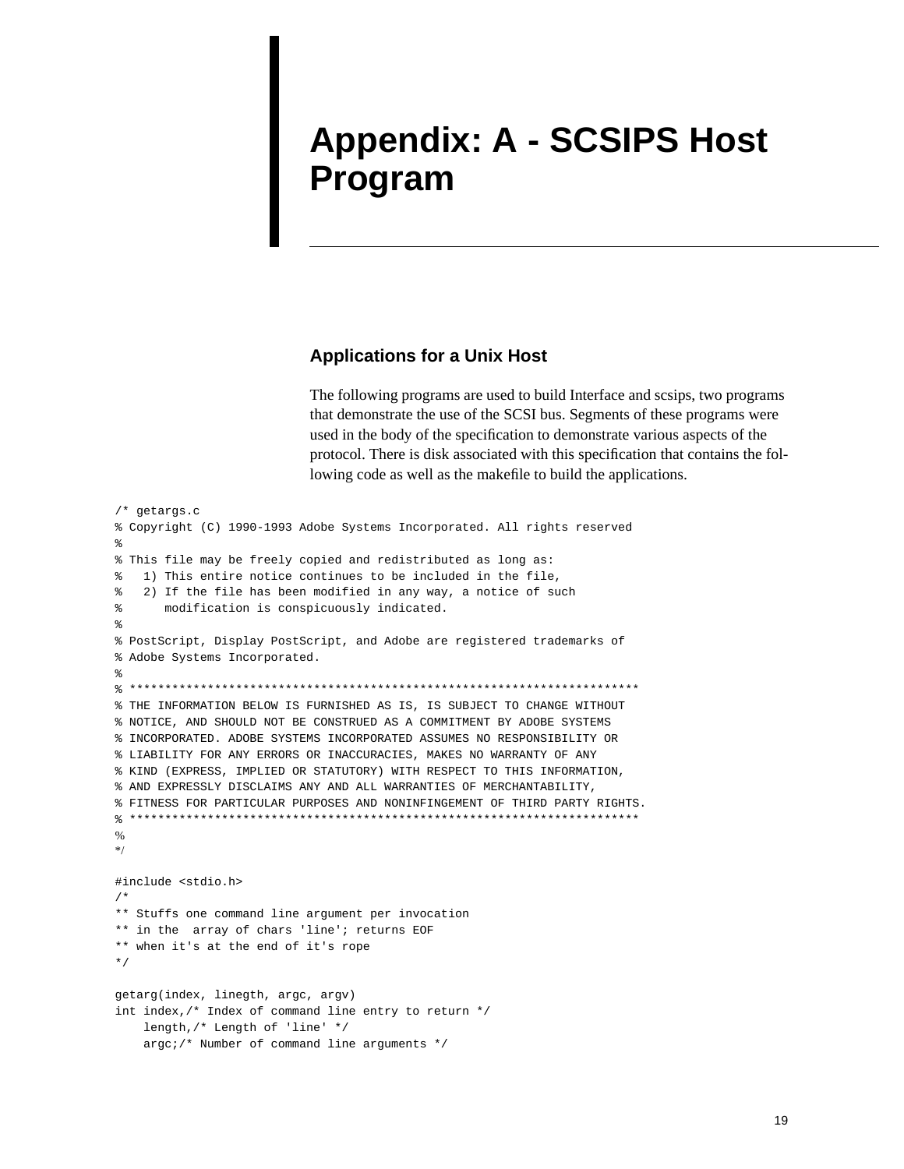# **Appendix: A - SCSIPS Host Program**

### **Applications for a Unix Host**

The following programs are used to build Interface and scsips, two programs that demonstrate the use of the SCSI bus. Segments of these programs were used in the body of the specification to demonstrate various aspects of the protocol. There is disk associated with this specification that contains the following code as well as the makefile to build the applications.

```
/* getargs.c
% Copyright (C) 1990-1993 Adobe Systems Incorporated. All rights reserved
%
% This file may be freely copied and redistributed as long as:
% 1) This entire notice continues to be included in the file,
% 2) If the file has been modified in any way, a notice of such
      modification is conspicuously indicated.
%
% PostScript, Display PostScript, and Adobe are registered trademarks of
% Adobe Systems Incorporated.
%
% ************************************************************************
% THE INFORMATION BELOW IS FURNISHED AS IS, IS SUBJECT TO CHANGE WITHOUT
% NOTICE, AND SHOULD NOT BE CONSTRUED AS A COMMITMENT BY ADOBE SYSTEMS
% INCORPORATED. ADOBE SYSTEMS INCORPORATED ASSUMES NO RESPONSIBILITY OR
% LIABILITY FOR ANY ERRORS OR INACCURACIES, MAKES NO WARRANTY OF ANY
% KIND (EXPRESS, IMPLIED OR STATUTORY) WITH RESPECT TO THIS INFORMATION,
% AND EXPRESSLY DISCLAIMS ANY AND ALL WARRANTIES OF MERCHANTABILITY,
% FITNESS FOR PARTICULAR PURPOSES AND NONINFINGEMENT OF THIRD PARTY RIGHTS.
% ************************************************************************
0/2*/
#include <stdio.h>
/*
** Stuffs one command line argument per invocation
** in the array of chars 'line'; returns EOF
** when it's at the end of it's rope
*/
getarg(index, linegth, argc, argv)
int index,/* Index of command line entry to return */
    length,/* Length of 'line' */
    argc;/* Number of command line arguments */
```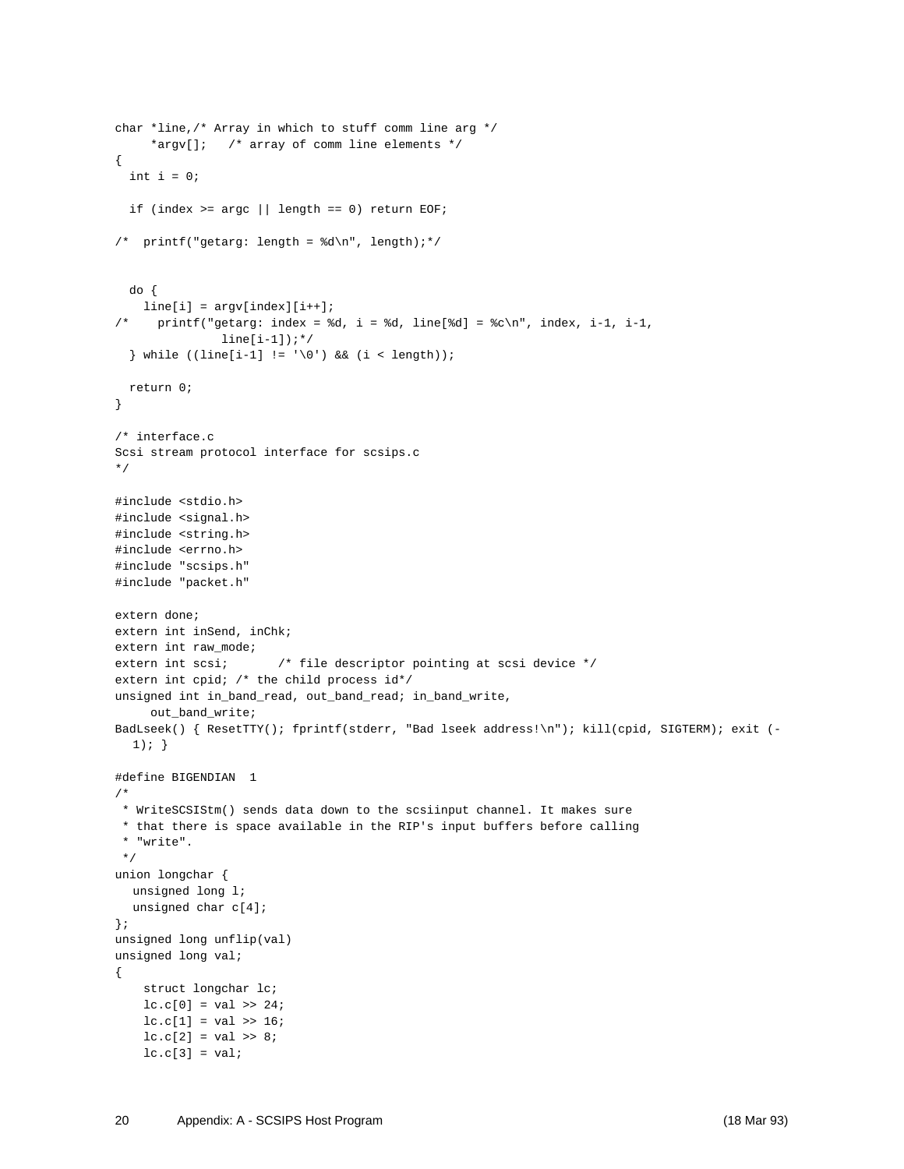```
char *line,/* Array in which to stuff comm line arg */
      *argv[]; /* array of comm line elements */
{
  int i = 0;
 if (index >= \arg c || length == 0) return EOF;
/* printf("getarg: length = d\n\pi, length);*/
  do {
    line[i] = argv[index][i++);
/* printf("getarg: index = d, i = d, line[d] = c \n\rightharpoonup c, index, i-1, i-1,
               line[i-1]); */
  \} while ((line[i-1] != '\0') && (i < length));
  return 0;
}
/* interface.c
Scsi stream protocol interface for scsips.c
*/
#include <stdio.h>
#include <signal.h>
#include <string.h>
#include <errno.h>
#include "scsips.h"
#include "packet.h"
extern done;
extern int inSend, inChk;
extern int raw mode;
extern int scsi; \frac{1}{2} /* file descriptor pointing at scsi device */
extern int cpid; /* the child process id*/
unsigned int in_band_read, out_band_read; in_band_write,
    out_band_write;
BadLseek() { ResetTTY(); fprintf(stderr, "Bad lseek address!\n"); kill(cpid, SIGTERM); exit (-
  1); }
#define BIGENDIAN 1
/*
 * WriteSCSIStm() sends data down to the scsiinput channel. It makes sure
  * that there is space available in the RIP's input buffers before calling
  * "write".
  */
union longchar {
  unsigned long l;
  unsigned char c[4];
};
unsigned long unflip(val)
unsigned long val;
{
     struct longchar lc;
   lc.c[0] = val >> 24;lc.c[1] = val >> 16;lc.c[2] = val >> 8;lc.c[3] = val;
```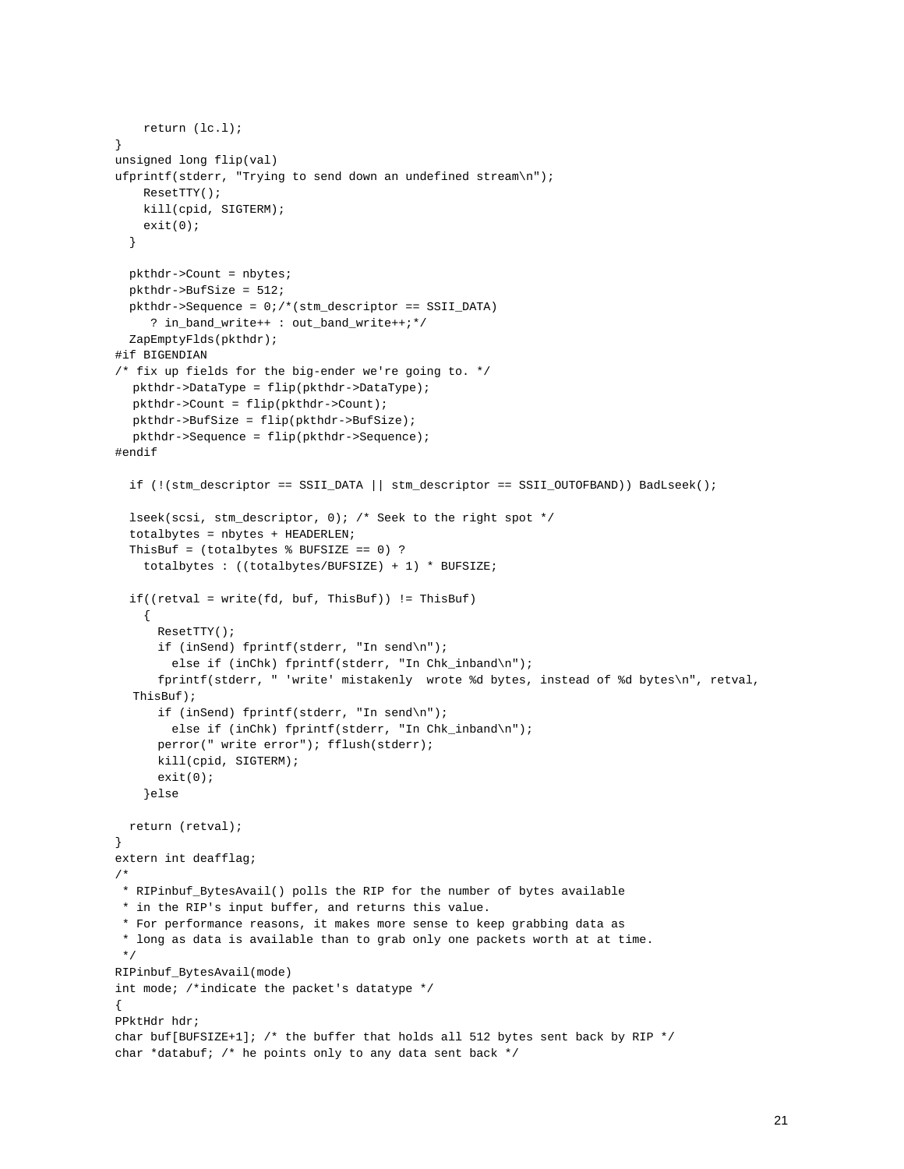```
 return (lc.l);
}
unsigned long flip(val)
ufprintf(stderr, "Trying to send down an undefined stream\n");
     ResetTTY();
    kill(cpid, SIGTERM);
    exit(0); }
  pkthdr->Count = nbytes;
  pkthdr->BufSize = 512;
  pkthdr->Sequence = 0;/*(stm_descriptor == SSII_DATA)
     ? in_band_write++ : out_band_write++;*/
  ZapEmptyFlds(pkthdr);
#if BIGENDIAN
/* fix up fields for the big-ender we're going to. */
  pkthdr->DataType = flip(pkthdr->DataType);
  pkthdr->Count = flip(pkthdr->Count);
  pkthdr->BufSize = flip(pkthdr->BufSize);
  pkthdr->Sequence = flip(pkthdr->Sequence);
#endif
  if (!(stm_descriptor == SSII_DATA || stm_descriptor == SSII_OUTOFBAND)) BadLseek();
  lseek(scsi, stm_descriptor, 0); /* Seek to the right spot */
  totalbytes = nbytes + HEADERLEN;
 ThisBuf = (totalbytes % BUFSIZE == 0) ?
     totalbytes : ((totalbytes/BUFSIZE) + 1) * BUFSIZE;
  if((retval = write(fd, but, ThisBut)) := ThisBut)\{ ResetTTY();
       if (inSend) fprintf(stderr, "In send\n");
        else if (inChk) fprintf(stderr, "In Chk_inband\n");
       fprintf(stderr, " 'write' mistakenly wrote %d bytes, instead of %d bytes\n", retval,
  ThisBuf);
       if (inSend) fprintf(stderr, "In send\n");
       else if (inChk) fprintf(stderr, "In Chk_inband\n");
       perror(" write error"); fflush(stderr);
       kill(cpid, SIGTERM);
      exit(0); }else
  return (retval);
}
extern int deafflag;
/*
 * RIPinbuf_BytesAvail() polls the RIP for the number of bytes available
 * in the RIP's input buffer, and returns this value.
 * For performance reasons, it makes more sense to keep grabbing data as
  * long as data is available than to grab only one packets worth at at time.
 */
RIPinbuf_BytesAvail(mode)
int mode; /*indicate the packet's datatype */
{
PPktHdr hdr;
char buf[BUFSIZE+1]; /* the buffer that holds all 512 bytes sent back by RIP */
char *databuf; /* he points only to any data sent back */
```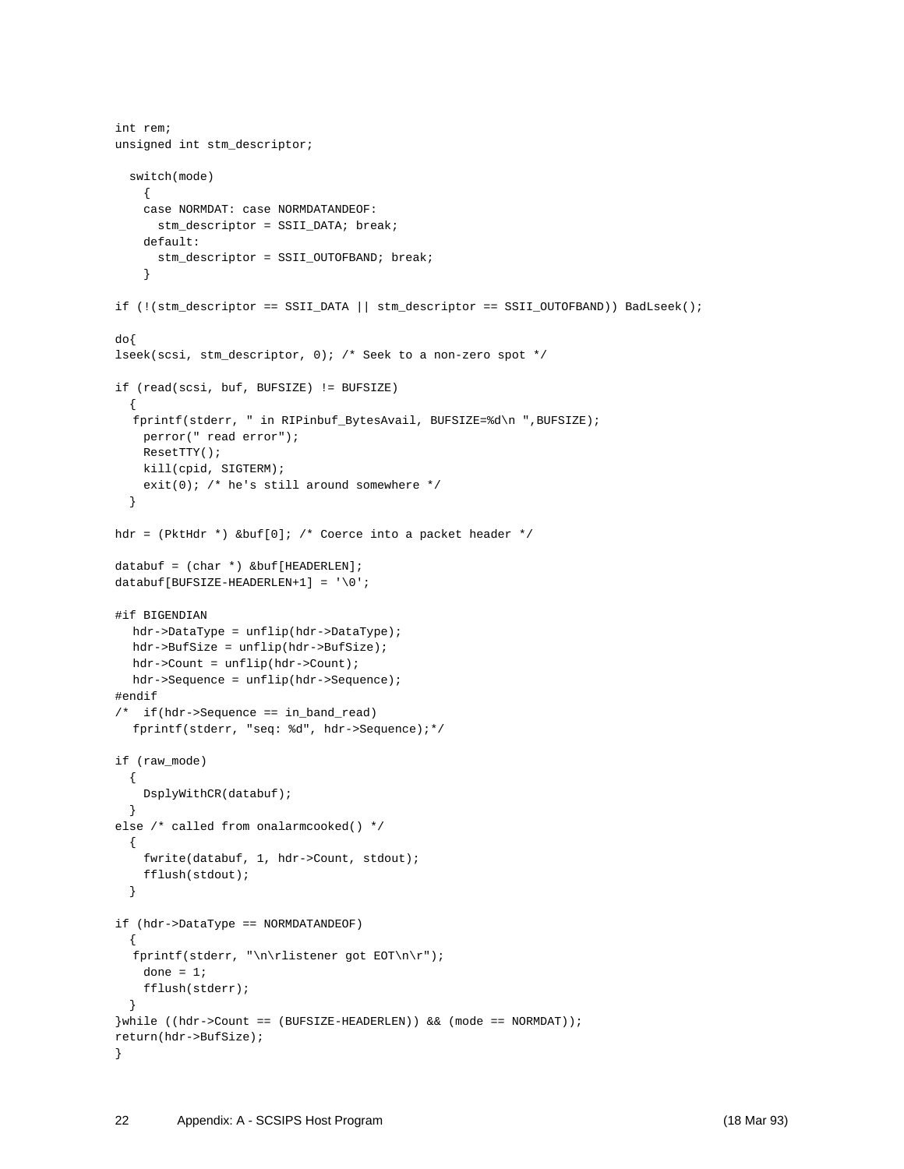```
int rem;
unsigned int stm_descriptor;
   switch(mode)
     {
     case NORMDAT: case NORMDATANDEOF:
       stm_descriptor = SSII_DATA; break;
     default:
     stm descriptor = SSII OUTOFBAND; break;
     }
if (!(stm_descriptor == SSII_DATA || stm_descriptor == SSII_OUTOFBAND)) BadLseek();
do{
lseek(scsi, stm_descriptor, 0); /* Seek to a non-zero spot */
if (read(scsi, buf, BUFSIZE) != BUFSIZE)
   {
  fprintf(stderr, " in RIPinbuf_BytesAvail, BUFSIZE=%d\n ",BUFSIZE);
    perror(" read error");
    ResetTTY();
    kill(cpid, SIGTERM);
    exit(0); /* he's still around somewhere */ }
hdr = (PktHdr *) &buf[0]; /* Coerce into a packet header */
databuf = (char *) &buf[HEADERLEN];
databuf[BUFSIZE-HEADERLEN+1] = \sqrt{0};
#if BIGENDIAN
  hdr->DataType = unflip(hdr->DataType);
  hdr->BufSize = unflip(hdr->BufSize);
  hdr->Count = unflip(hdr->Count);
  hdr->Sequence = unflip(hdr->Sequence);
#endif
/* if(hdr->Sequence == in_band_read)
  fprintf(stderr, "seq: %d", hdr->Sequence);*/
if (raw_mode)
   {
    DsplyWithCR(databuf);
   }
else /* called from onalarmcooked() */
   {
    fwrite(databuf, 1, hdr->Count, stdout);
    fflush(stdout);
   }
if (hdr->DataType == NORMDATANDEOF)
   {
  fprintf(stderr, "\n\rlistener got EOT\n\r");
   done = 1;
     fflush(stderr);
   }
}while ((hdr->Count == (BUFSIZE-HEADERLEN)) && (mode == NORMDAT));
return(hdr->BufSize);
}
```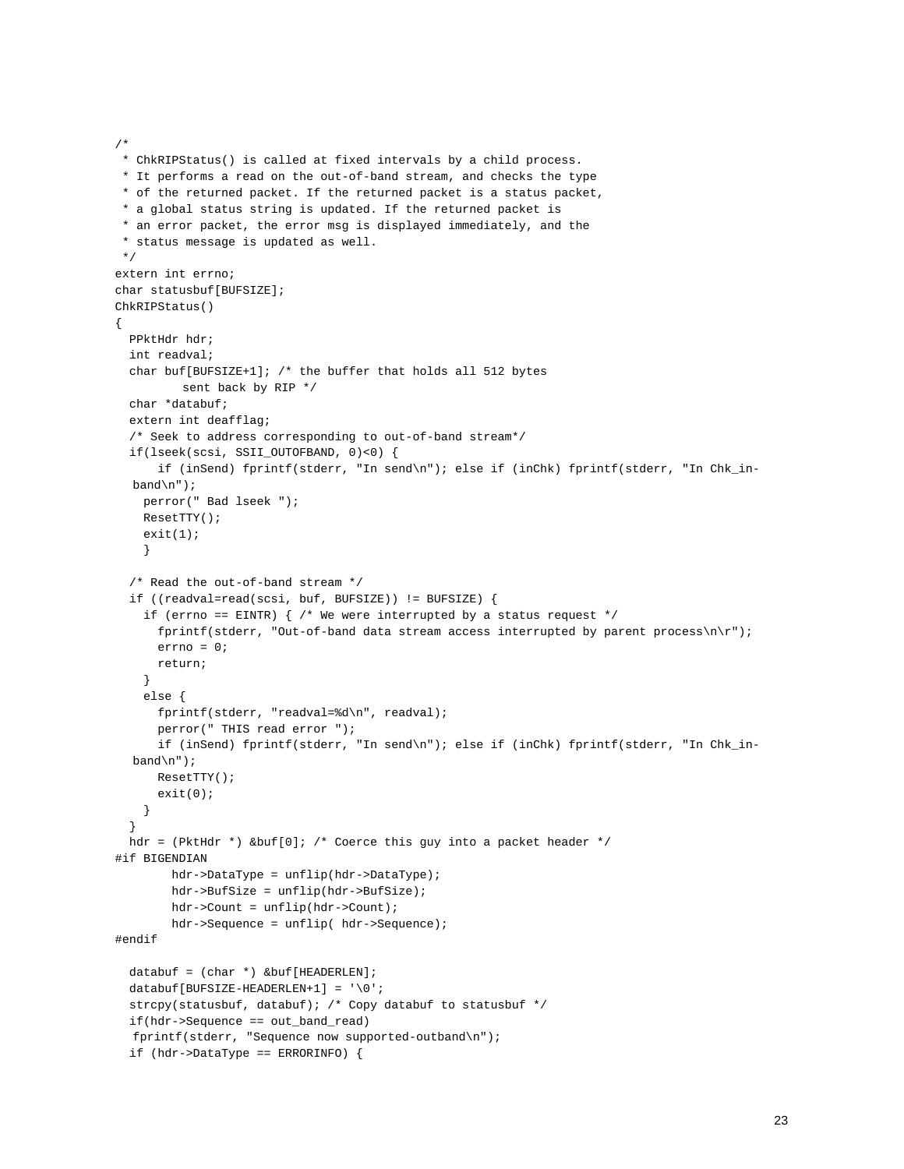```
 * ChkRIPStatus() is called at fixed intervals by a child process.
 * It performs a read on the out-of-band stream, and checks the type
 * of the returned packet. If the returned packet is a status packet,
  * a global status string is updated. If the returned packet is
  * an error packet, the error msg is displayed immediately, and the
  * status message is updated as well.
 */
extern int errno;
char statusbuf[BUFSIZE];
ChkRIPStatus()
{
  PPktHdr hdr;
  int readval;
  char buf[BUFSIZE+1]; /* the buffer that holds all 512 bytes
          sent back by RIP */
  char *databuf;
  extern int deafflag;
   /* Seek to address corresponding to out-of-band stream*/
  if(lseek(scsi, SSII_OUTOFBAND, 0)<0) {
       if (inSend) fprintf(stderr, "In send\n"); else if (inChk) fprintf(stderr, "In Chk_in-
  band\n\cdot");
    perror(" Bad lseek ");
    ResetTTY();
   exit(1); }
   /* Read the out-of-band stream */
  if ((readval=read(scsi, buf, BUFSIZE)) != BUFSIZE) {
    if (errno == EINTR) { /* We were interrupted by a status request */ fprintf(stderr, "Out-of-band data stream access interrupted by parent process\n\r");
       errno = 0;
      return;
     }
     else {
       fprintf(stderr, "readval=%d\n", readval);
       perror(" THIS read error ");
       if (inSend) fprintf(stderr, "In send\n"); else if (inChk) fprintf(stderr, "In Chk_in-
  band\n");
      ResetTTY();
       exit(0);
    }
 }
 hdr = (PktHdr *) &buf[0]; /* Coerce this guy into a packet header */
#if BIGENDIAN
        hdr->DataType = unflip(hdr->DataType);
        hdr->BufSize = unflip(hdr->BufSize);
        hdr->Count = unflip(hdr->Count);
         hdr->Sequence = unflip( hdr->Sequence);
#endif
 databuf = (char *) &buf[HEADERLEN];
 databuf[BUFSIZE-HEADERLEN+1] = '\0';strcpy(statusbuf, databuf); /* Copy databuf to statusbuf */
  if(hdr->Sequence == out_band_read)
  fprintf(stderr, "Sequence now supported-outband\n");
  if (hdr->DataType == ERRORINFO) {
```
/\*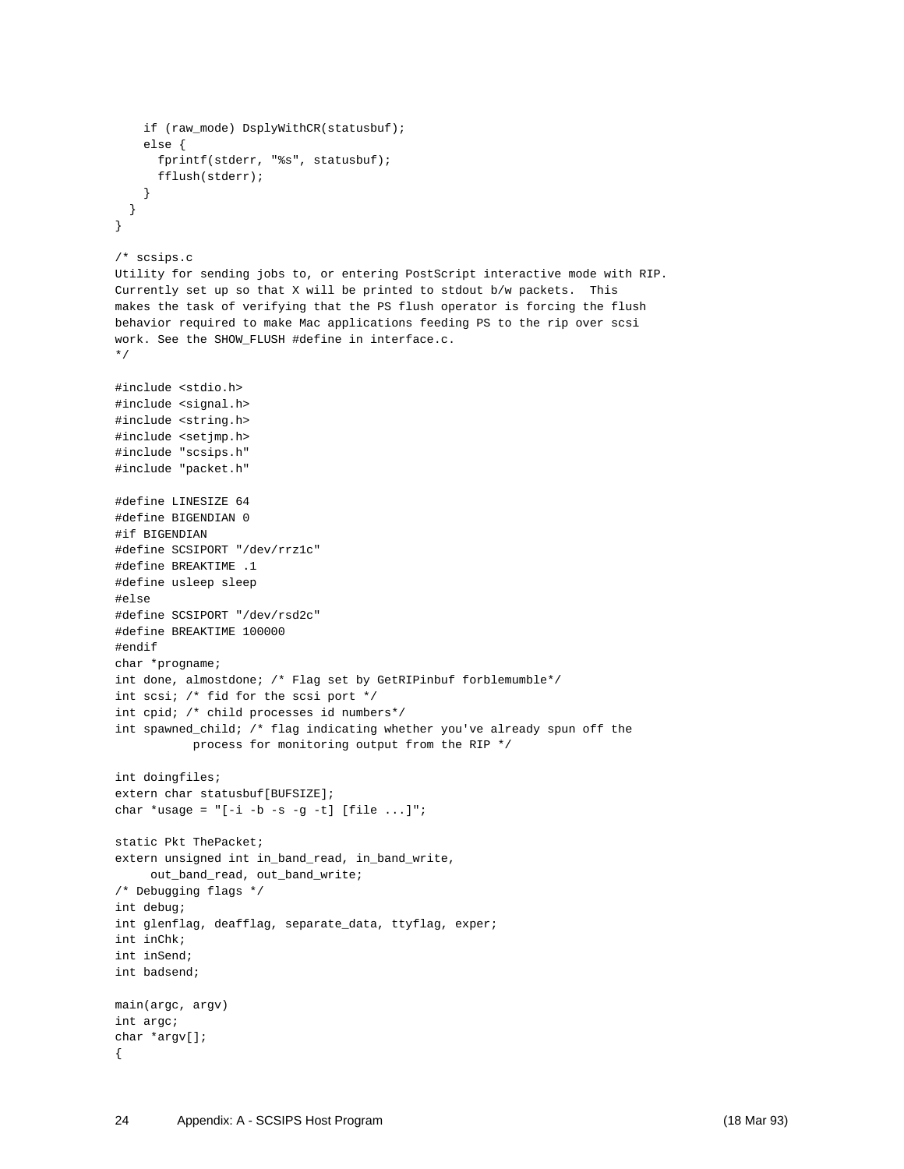```
 if (raw_mode) DsplyWithCR(statusbuf);
     else {
       fprintf(stderr, "%s", statusbuf);
       fflush(stderr);
     }
   }
}
/* scsips.c
Utility for sending jobs to, or entering PostScript interactive mode with RIP.
Currently set up so that X will be printed to stdout b/w packets. This
makes the task of verifying that the PS flush operator is forcing the flush
behavior required to make Mac applications feeding PS to the rip over scsi
work. See the SHOW_FLUSH #define in interface.c.
*/
#include <stdio.h>
#include <signal.h>
#include <string.h>
#include <setjmp.h>
#include "scsips.h"
#include "packet.h"
#define LINESIZE 64
#define BIGENDIAN 0
#if BIGENDIAN
#define SCSIPORT "/dev/rrz1c"
#define BREAKTIME .1
#define usleep sleep
#else
#define SCSIPORT "/dev/rsd2c"
#define BREAKTIME 100000
#endif
char *progname;
int done, almostdone; /* Flag set by GetRIPinbuf forblemumble*/
int scsi; /* fid for the scsi port */
int cpid; /* child processes id numbers*/
int spawned_child; /* flag indicating whether you've already spun off the
            process for monitoring output from the RIP */
int doingfiles;
extern char statusbuf[BUFSIZE];
char *usage = "[-i -b -s -g -t] [file ...]";
static Pkt ThePacket;
extern unsigned int in_band_read, in_band_write,
    out_band_read, out_band_write;
/* Debugging flags */
int debug;
int glenflag, deafflag, separate_data, ttyflag, exper;
int inChk;
int inSend;
int badsend;
main(argc, argv)
int argc;
char *argv[];
{
```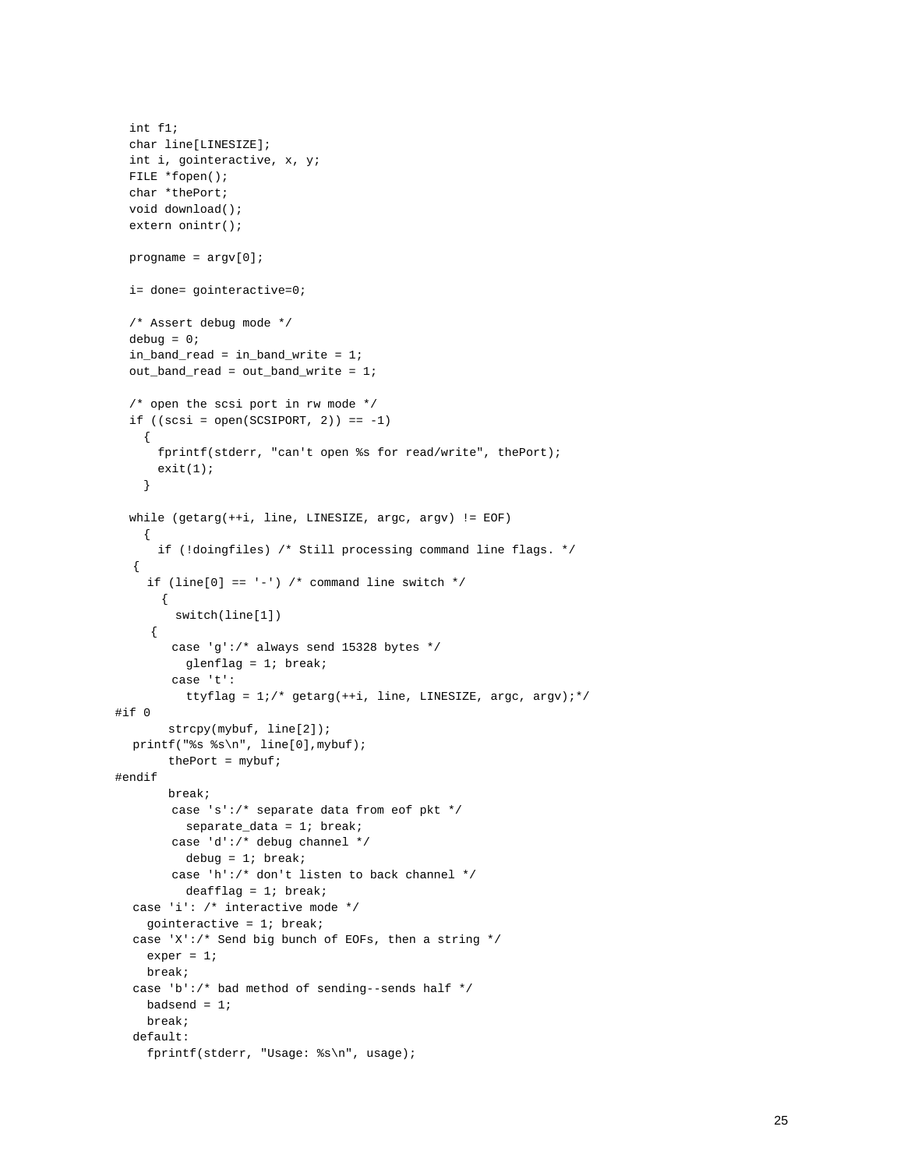```
 int f1;
  char line[LINESIZE];
  int i, gointeractive, x, y;
  FILE *fopen();
  char *thePort;
  void download();
  extern onintr();
 progname = \text{argv}[0];
  i= done= gointeractive=0;
   /* Assert debug mode */
 debug = 0;in band read = in band write = 1;
   out_band_read = out_band_write = 1;
   /* open the scsi port in rw mode */
 if ((\text{scsi} = \text{open}(\text{SCSIPORT}, 2)) == -1) {
       fprintf(stderr, "can't open %s for read/write", thePort);
      exit(1); }
   while (getarg(++i, line, LINESIZE, argc, argv) != EOF)
     {
       if (!doingfiles) /* Still processing command line flags. */
  {
    if (line[0] == '-') /* command line switch */ {
         switch(line[1])
     {
         case 'g':/* always send 15328 bytes */
          glenflag = 1; break;
         case 't':
         ttyflag = 1i/* getarg(++i, line, LINESIZE, argc, argv);*/
#if 0
       strcpy(mybuf, line[2]);
  printf("%s %s\n", line[0],mybuf);
       thePort = mybuf;
#endif
       break;
         case 's':/* separate data from eof pkt */
          separate_data = 1; break;
         case 'd':/* debug channel */
           debug = 1; break;
         case 'h':/* don't listen to back channel */
           deafflag = 1; break;
  case 'i': /* interactive mode */
     gointeractive = 1; break;
  case 'X':/* Send big bunch of EOFs, then a string */ exper = 1;
     break;
  case 'b':/* bad method of sending--sends half */
    badsend = 1;
     break;
  default:
     fprintf(stderr, "Usage: %s\n", usage);
```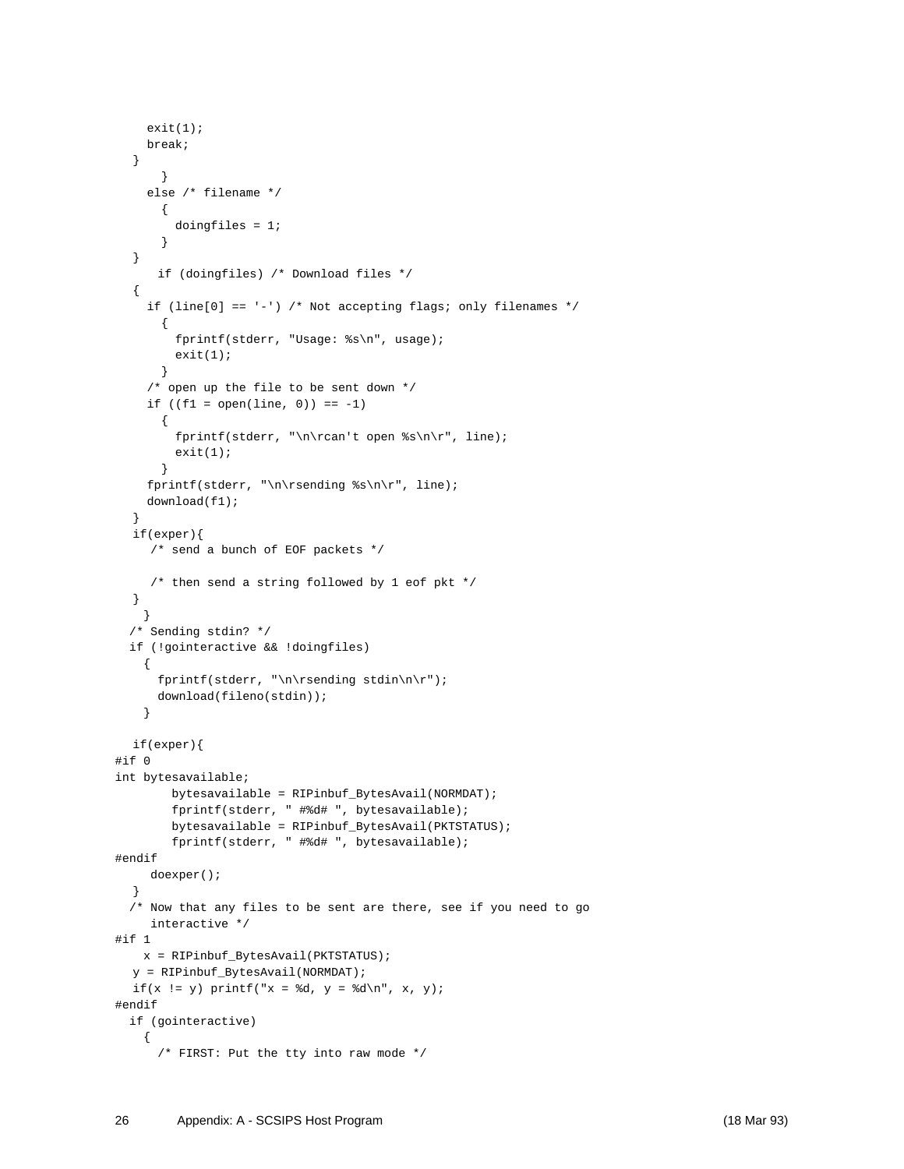```
exit(1); break;
  }
       }
     else /* filename */
       {
         doingfiles = 1;
       }
  }
       if (doingfiles) /* Download files */
  {
    if (line[0] == '-') /* Not accepting flags; only filenames */
       {
         fprintf(stderr, "Usage: %s\n", usage);
        exit(1); }
     /* open up the file to be sent down */
    if ((f1 = open(line, 0)) == -1) {
         fprintf(stderr, "\n\rcan't open %s\n\r", line);
        exit(1); }
     fprintf(stderr, "\n\rsending %s\n\r", line);
     download(f1);
  }
  if(exper){
     /* send a bunch of EOF packets */
     /* then send a string followed by 1 eof pkt */
  }
    }
   /* Sending stdin? */
   if (!gointeractive && !doingfiles)
    {
      fprintf(stderr, "\n\rsending stdin\n\r");
      download(fileno(stdin));
     }
  if(exper){
#if 0
int bytesavailable;
         bytesavailable = RIPinbuf_BytesAvail(NORMDAT);
         fprintf(stderr, " #%d# ", bytesavailable);
         bytesavailable = RIPinbuf_BytesAvail(PKTSTATUS);
         fprintf(stderr, " #%d# ", bytesavailable);
#endif
    doexper();
  }
   /* Now that any files to be sent are there, see if you need to go
     interactive */
#if 1
    x = RIPinbuf_BytesAvail(PKTSTATUS);
  y = RIPinbuf_BytesAvail(NORMDAT);
  if(x := y) printf("x = %d, y = %d\n", x, y);#endif
   if (gointeractive)
     {
       /* FIRST: Put the tty into raw mode */
```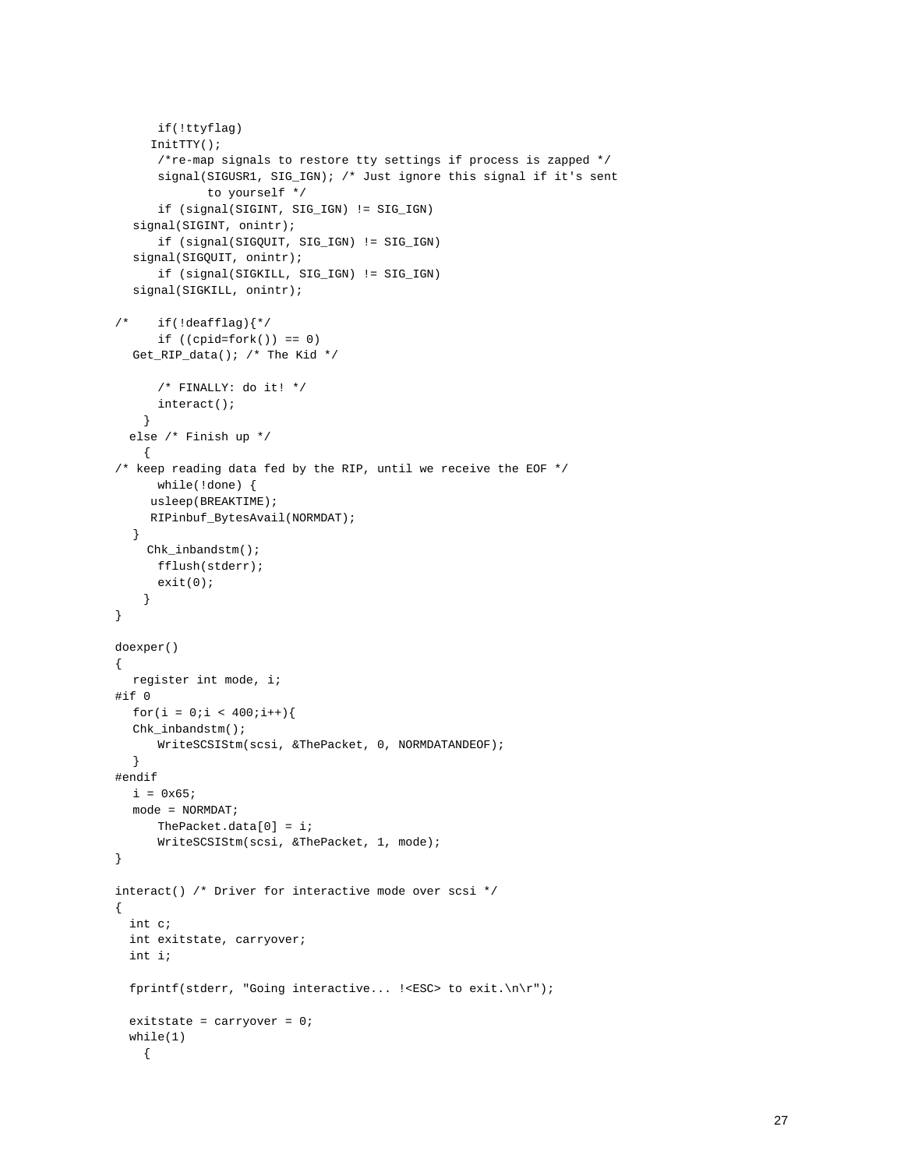```
 if(!ttyflag)
     InitTTY();
       /*re-map signals to restore tty settings if process is zapped */
       signal(SIGUSR1, SIG_IGN); /* Just ignore this signal if it's sent
              to yourself */
       if (signal(SIGINT, SIG_IGN) != SIG_IGN)
  signal(SIGINT, onintr);
       if (signal(SIGQUIT, SIG_IGN) != SIG_IGN)
  signal(SIGQUIT, onintr);
       if (signal(SIGKILL, SIG_IGN) != SIG_IGN)
  signal(SIGKILL, onintr);
/* if(!deafflag){*/
     if ((\text{cpid=fork})) == 0)Get_RIP_data(); /* The Kid */
       /* FINALLY: do it! */
       interact();
     }
   else /* Finish up */
     {
/* keep reading data fed by the RIP, until we receive the EOF */ while(!done) {
     usleep(BREAKTIME);
     RIPinbuf_BytesAvail(NORMDAT);
  }
    Chk inbandstm();
      fflush(stderr);
       exit(0);
     }
}
doexper()
{
  register int mode, i;
#if 0
  for(i = 0:i < 400:i++){
  Chk_inbandstm();
      WriteSCSIStm(scsi, &ThePacket, 0, NORMDATANDEOF);
  }
#endif
  i = 0x65;mode = NORMDAT;
      ThePacket.data[0] = i;
       WriteSCSIStm(scsi, &ThePacket, 1, mode);
}
interact() /* Driver for interactive mode over scsi */
{
  int c;
  int exitstate, carryover;
   int i;
   fprintf(stderr, "Going interactive... !<ESC> to exit.\n\r");
   exitstate = carryover = 0;
   while(1)
     {
```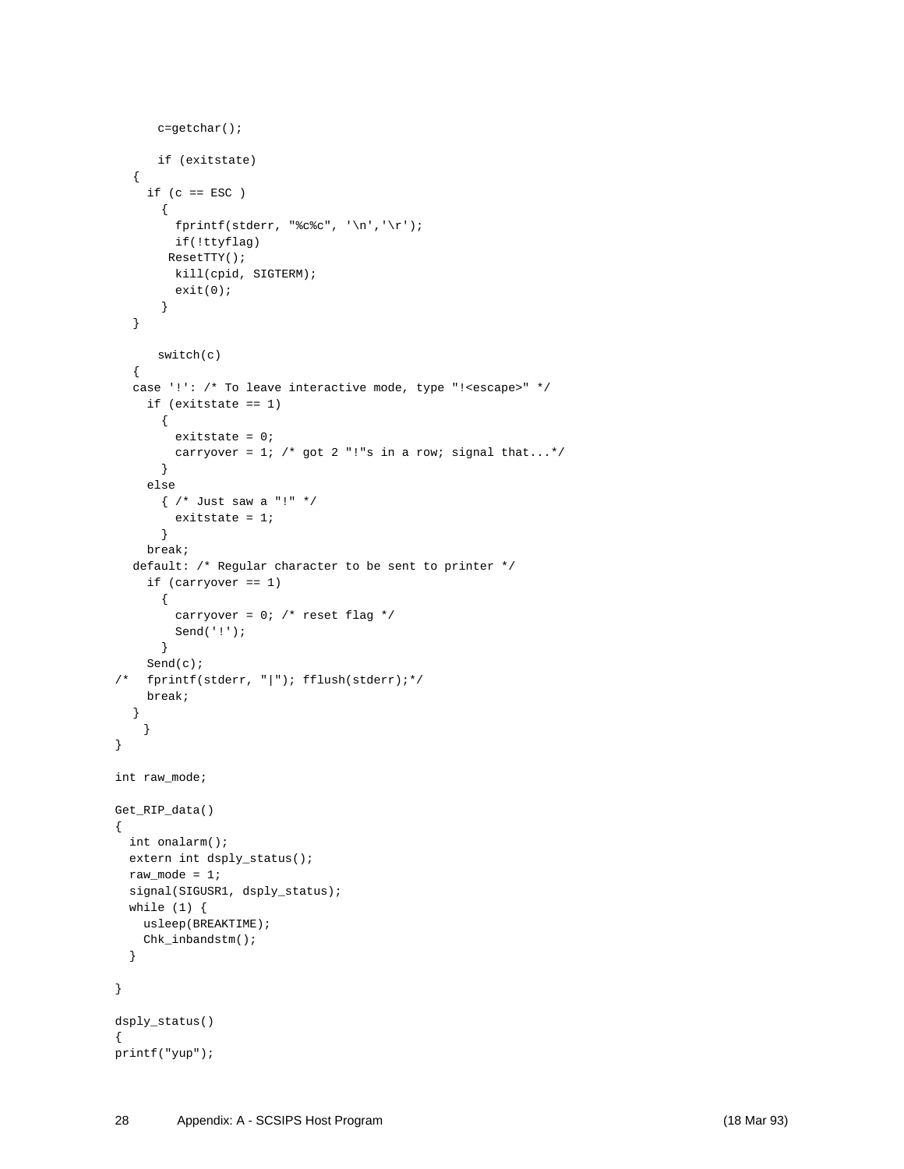```
 c=getchar();
       if (exitstate)
  {
    if (c == ESC) {
        fprintf(stderr, "%c%c", '\n','\r');
         if(!ttyflag)
       ResetTTY();
         kill(cpid, SIGTERM);
         exit(0);
       }
  }
       switch(c)
  {
  case '!': /* To leave interactive mode, type "!<escape>" */
     if (exitstate == 1)
       {
         exitstate = 0;
        carryover = 1; /* got 2 "!"s in a row; signal that...*/
       }
     else
       { /* Just saw a "!" */
         exitstate = 1;
       }
     break;
  default: /* Regular character to be sent to printer */
     if (carryover == 1)
       {
        carryover = 0; /* reset flag */
         Send('!');
       }
     Send(c);
/* fprintf(stderr, || \cdot ||); fflush(stderr);*/
     break;
  }
     }
}
int raw_mode;
Get_RIP_data()
{
  int onalarm();
  extern int dsply_status();
 raw_model = 1;signal(SIGUSR1, dsply_status);
  while (1) {
    usleep(BREAKTIME);
    Chk_inbandstm();
   }
}
dsply_status()
{
printf("yup");
```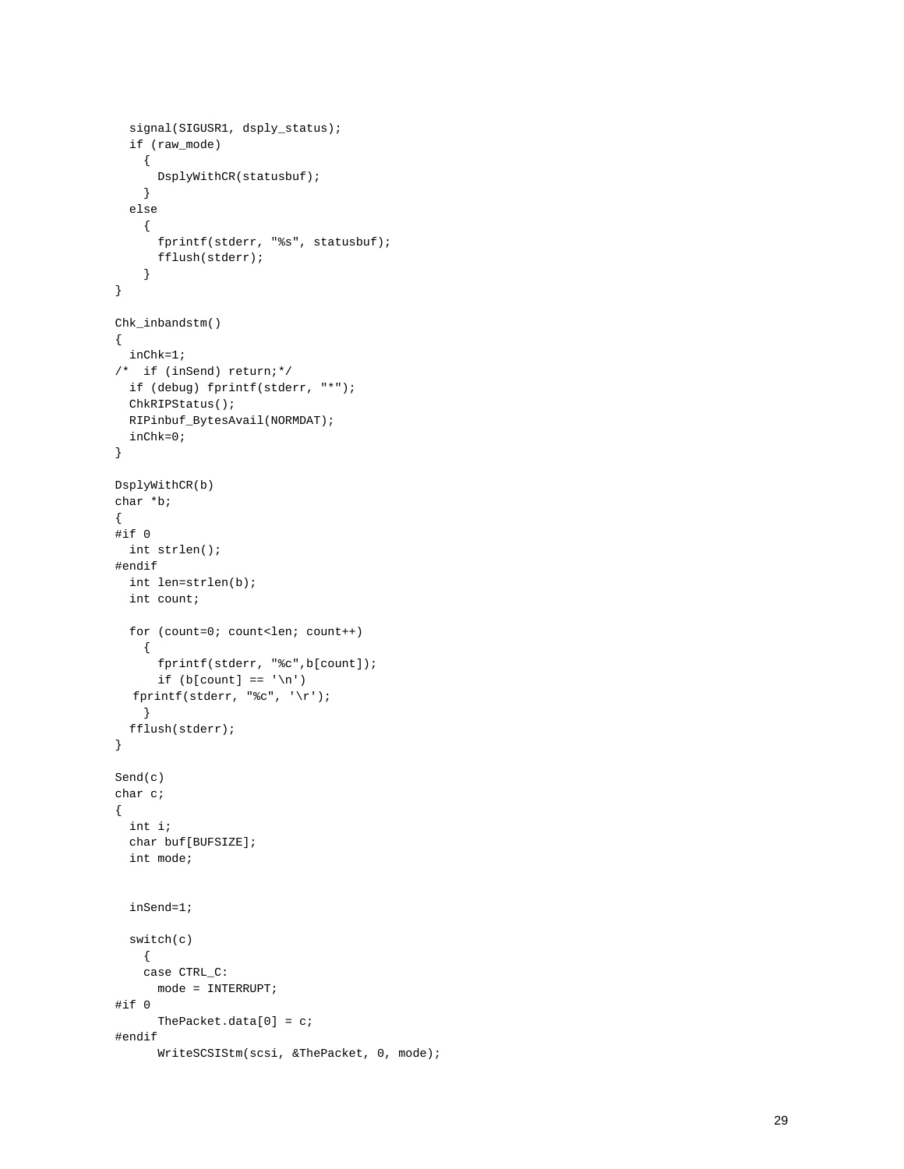```
 signal(SIGUSR1, dsply_status);
   if (raw_mode)
     {
      DsplyWithCR(statusbuf);
    }
   else
    {
       fprintf(stderr, "%s", statusbuf);
      fflush(stderr);
     }
}
Chk_inbandstm()
{
  inChk=1;
/* if (inSend) return;*/
  if (debug) fprintf(stderr, "*");
  ChkRIPStatus();
  RIPinbuf_BytesAvail(NORMDAT);
  inChk=0;
}
DsplyWithCR(b)
char *b;
{
#if 0
  int strlen();
#endif
  int len=strlen(b);
  int count;
   for (count=0; count<len; count++)
    {
       fprintf(stderr, "%c",b[count]);
      if (b[count] == 'n')fprintf(stderr, "%c", '\r \;
    }
   fflush(stderr);
}
Send(c)
char c;
{
  int i;
  char buf[BUFSIZE];
  int mode;
   inSend=1;
   switch(c)
    {
     case CTRL_C:
      mode = INTERRUPT;
#if 0
       ThePacket.data[0] = c;
#endif
       WriteSCSIStm(scsi, &ThePacket, 0, mode);
```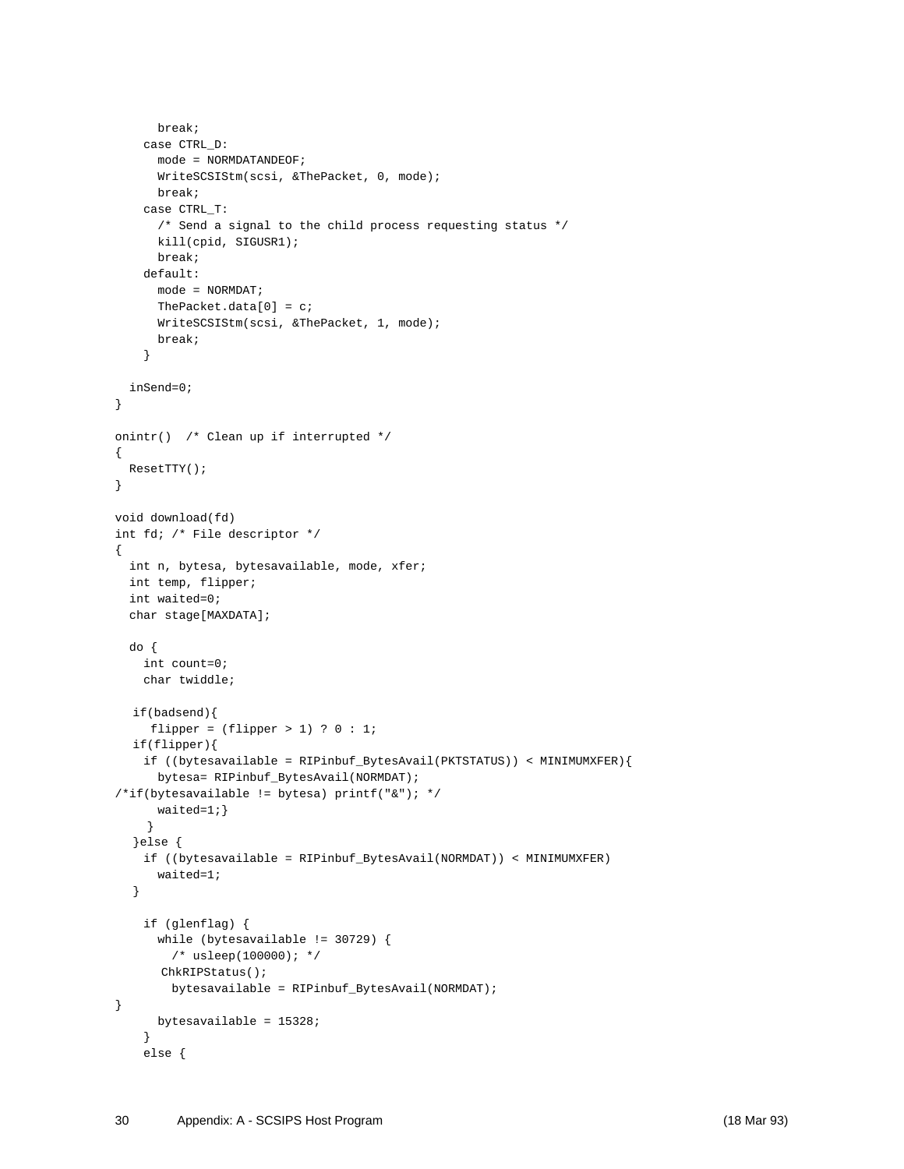```
 break;
     case CTRL_D:
       mode = NORMDATANDEOF;
       WriteSCSIStm(scsi, &ThePacket, 0, mode);
       break;
     case CTRL_T:
       /* Send a signal to the child process requesting status */
       kill(cpid, SIGUSR1);
       break;
     default:
      mode = NORMDAT;
      ThePacket.data[0] = c;
      WriteSCSIStm(scsi, &ThePacket, 1, mode);
      break;
     }
  inSend=0;
}
onintr() /* Clean up if interrupted */
{
  ResetTTY();
}
void download(fd)
int fd; /* File descriptor */
{
  int n, bytesa, bytesavailable, mode, xfer;
  int temp, flipper;
   int waited=0;
   char stage[MAXDATA];
  do {
    int count=0;
    char twiddle;
  if(badsend){
    flipper = (flipper > 1) ? 0 : 1;
  if(flipper){
     if ((bytesavailable = RIPinbuf_BytesAvail(PKTSTATUS)) < MINIMUMXFER){
       bytesa= RIPinbuf_BytesAvail(NORMDAT);
/*if(bytesavailable != bytesa) printf("&"); */
      waited=1; }
     }
  }else {
    if ((bytesavailable = RIPinbuf_BytesAvail(NORMDAT)) < MINIMUMXFER)
       waited=1;
  }
     if (glenflag) {
       while (bytesavailable != 30729) {
        /* usleep(100000); */
       ChkRIPStatus();
         bytesavailable = RIPinbuf_BytesAvail(NORMDAT);
}
      bytesavailable = 15328;
     }
     else {
```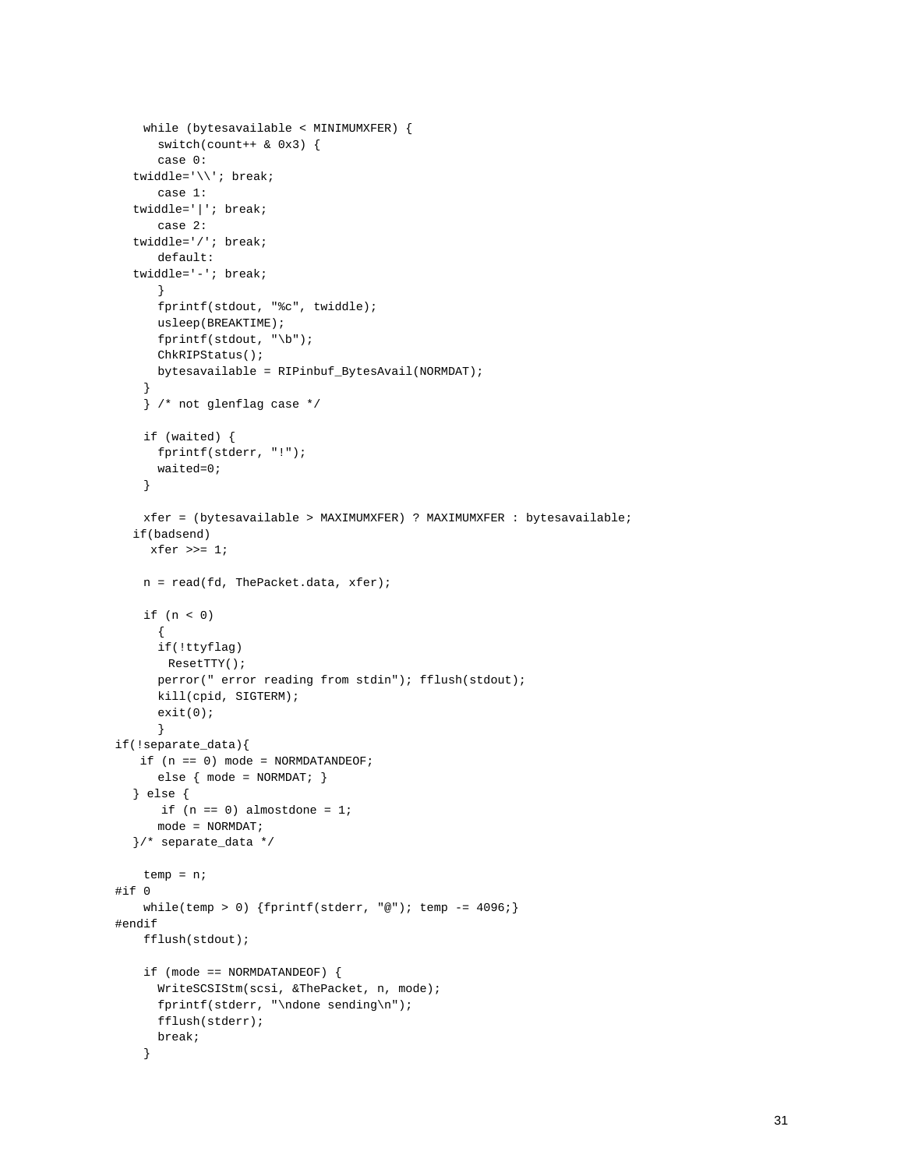```
 while (bytesavailable < MINIMUMXFER) {
       switch(count++ & 0x3) {
       case 0:
  twiddle='\\'; break;
       case 1:
  twiddle='|'; break;
       case 2:
  twiddle='/'; break;
       default:
  twiddle='-'; break;
      }
       fprintf(stdout, "%c", twiddle);
      usleep(BREAKTIME);
      fprintf(stdout, "\b");
      ChkRIPStatus();
      bytesavailable = RIPinbuf_BytesAvail(NORMDAT);
     }
     } /* not glenflag case */
     if (waited) {
       fprintf(stderr, "!");
       waited=0;
     }
    xfer = (bytesavailable > MAXIMUMXFER) ? MAXIMUMXFER : bytesavailable;
  if(badsend)
    xfer \gg= 1; n = read(fd, ThePacket.data, xfer);
     if (n < 0)
      {
       if(!ttyflag)
       ResetTTY();
       perror(" error reading from stdin"); fflush(stdout);
      kill(cpid, SIGTERM);
       exit(0);
      }
if(!separate_data){
   if (n == 0) mode = NORMDATANDEOF;
       else { mode = NORMDAT; }
  } else {
      if (n == 0) almostdone = 1;
      mode = NORMDAT;
  }/* separate_data */
    temp = n;
#if 0
    while(temp > 0) {fprint(stderr, "@"); temp = 4096};#endif
     fflush(stdout);
     if (mode == NORMDATANDEOF) {
       WriteSCSIStm(scsi, &ThePacket, n, mode);
       fprintf(stderr, "\ndone sending\n");
       fflush(stderr);
      break;
     }
```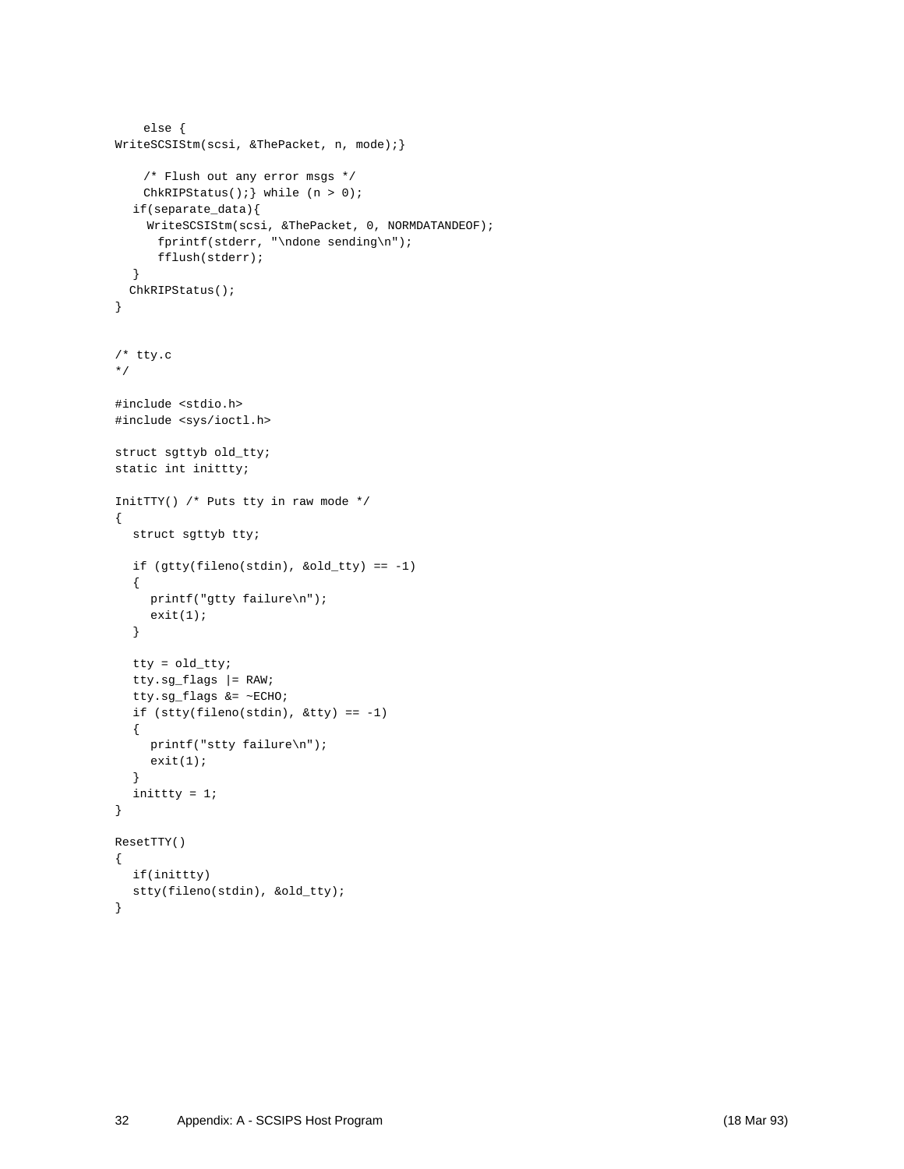```
 else {
WriteSCSIStm(scsi, &ThePacket, n, mode);}
     /* Flush out any error msgs */
   ChkRIPStatus(); \} while (n > 0);
  if(separate_data){
     WriteSCSIStm(scsi, &ThePacket, 0, NORMDATANDEOF);
       fprintf(stderr, "\ndone sending\n");
       fflush(stderr);
  }
  ChkRIPStatus();
}
/* tty.c
*/
#include <stdio.h>
#include <sys/ioctl.h>
struct sgttyb old_tty;
static int inittty;
InitTTY() /* Puts tty in raw mode */
{
  struct sgttyb tty;
  if (gtty(fileno(stdin), &old_tty) == -1)
  {
    printf("gtty failure\n");
    exit(1);
  }
  tty = old_tty;
  tty.sg_flags |= RAW;
  tty.sg_flags &= ~ECHO;
  if (stty(fileno(stdin), &tty) == -1)
  {
    printf("stty failure\n");
    exit(1);}
  inittty = 1;
}
ResetTTY()
{
  if(inittty)
  stty(fileno(stdin), &old_tty);
}
```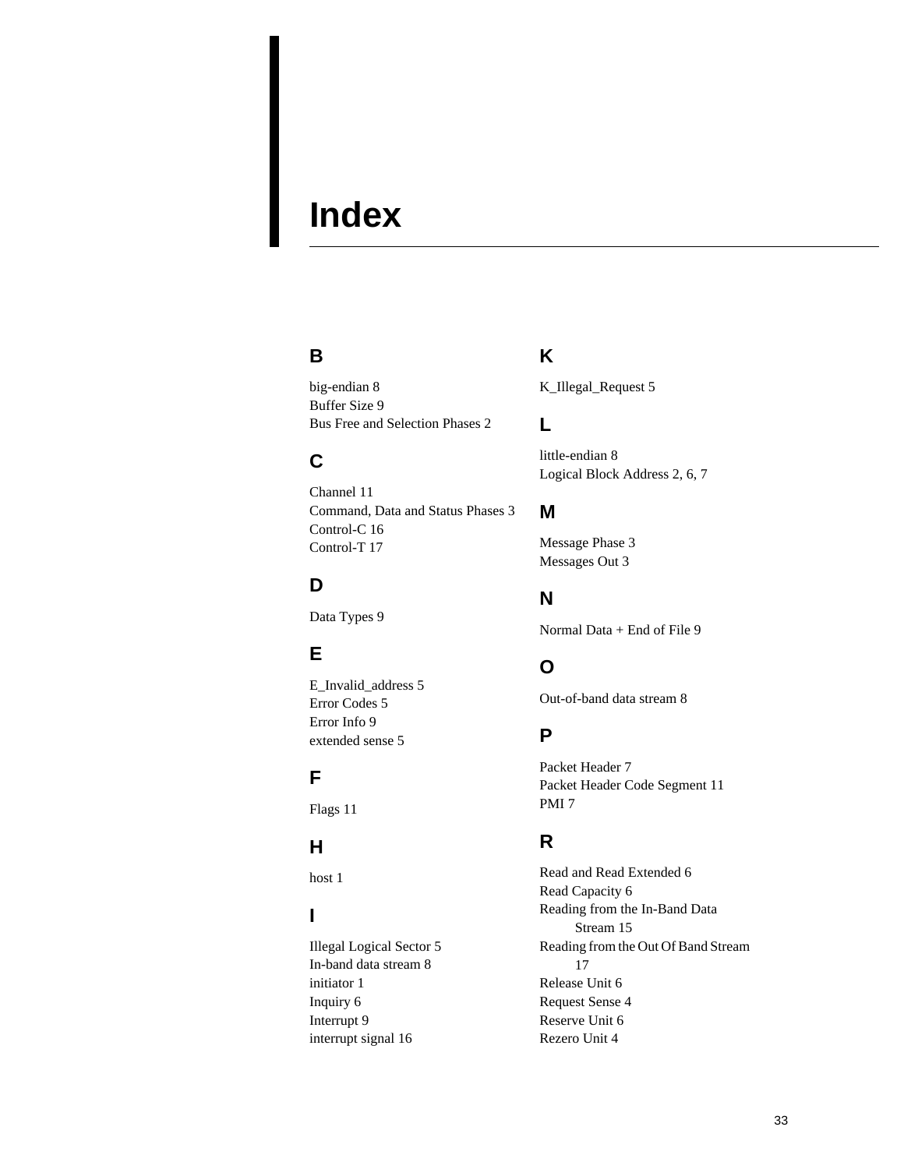# **Index**

## **B**

big-endian 8 Buffer Size 9 Bus Free and Selection Phases 2

# **C**

Channel 11 Command, Data and Status Phases 3 Control-C 16 Control-T 17

# **D**

Data Types 9

# **E**

E\_Invalid\_address 5 Error Codes 5 Error Info 9 extended sense 5

# **F**

Flags 11

## **H**

host 1

## **I**

Illegal Logical Sector 5 In-band data stream 8 initiator 1 Inquiry 6 Interrupt 9 interrupt signal 16

# **K**

K\_Illegal\_Request 5

## **L**

little-endian 8 Logical Block Address 2, 6, 7

## **M**

Message Phase 3 Messages Out 3

## **N**

Normal Data + End of File 9

# **O**

Out-of-band data stream 8

## **P**

Packet Header 7 Packet Header Code Segment 11 PMI 7

## **R**

Read and Read Extended 6 Read Capacity 6 Reading from the In-Band Data Stream 15 Reading from the Out Of Band Stream 17 Release Unit 6 Request Sense 4 Reserve Unit 6 Rezero Unit 4